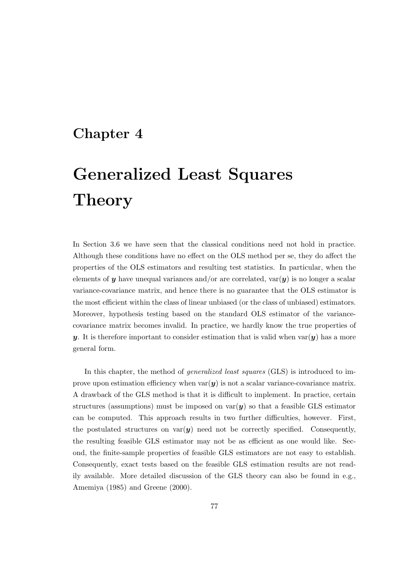## **Chapter 4**

# **Generalized Least Squares Theory**

In Section 3.6 we have seen that the classical conditions need not hold in practice. Although these conditions have no effect on the OLS method per se, they do affect the properties of the OLS estimators and resulting test statistics. In particular, when the elements of  $y$  have unequal variances and/or are correlated, var $(y)$  is no longer a scalar variance-covariance matrix, and hence there is no guarantee that the OLS estimator is the most efficient within the class of linear unbiased (or the class of unbiased) estimators. Moreover, hypothesis testing based on the standard OLS estimator of the variancecovariance matrix becomes invalid. In practice, we hardly know the true properties of *y*. It is therefore important to consider estimation that is valid when  $var(y)$  has a more general form.

In this chapter, the method of *generalized least squares* (GLS) is introduced to improve upon estimation efficiency when  $var(y)$  is not a scalar variance-covariance matrix. A drawback of the GLS method is that it is difficult to implement. In practice, certain structures (assumptions) must be imposed on  $var(y)$  so that a feasible GLS estimator can be computed. This approach results in two further difficulties, however. First, the postulated structures on  $var(y)$  need not be correctly specified. Consequently, the resulting feasible GLS estimator may not be as efficient as one would like. Second, the finite-sample properties of feasible GLS estimators are not easy to establish. Consequently, exact tests based on the feasible GLS estimation results are not readily available. More detailed discussion of the GLS theory can also be found in e.g., Amemiya (1985) and Greene (2000).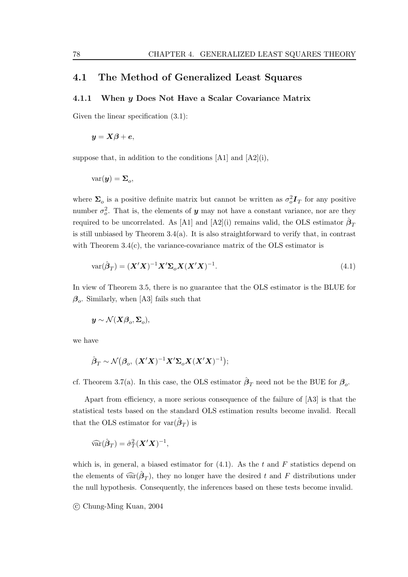## **4.1 The Method of Generalized Least Squares**

#### **4.1.1 When** *y* **Does Not Have a Scalar Covariance Matrix**

Given the linear specification  $(3.1)$ :

$$
y = X\beta + e,
$$

suppose that, in addition to the conditions  $[A1]$  and  $[A2](i)$ ,

$$
var(\mathbf{y}) = \mathbf{\Sigma}_o,
$$

where  $\Sigma_o$  is a positive definite matrix but cannot be written as  $\sigma_o^2 \mathbf{I}_T$  for any positive number  $\sigma_o^2$ . That is, the elements of **y** may not have a constant variance, nor are they required to be uncorrelated. As [A1] and [A2](i) remains valid, the OLS estimator  $\hat{\beta}_T$ is still unbiased by Theorem  $3.4(a)$ . It is also straightforward to verify that, in contrast with Theorem  $3.4(c)$ , the variance-covariance matrix of the OLS estimator is

$$
\text{var}(\hat{\boldsymbol{\beta}}_T) = (\boldsymbol{X}'\boldsymbol{X})^{-1}\boldsymbol{X}'\boldsymbol{\Sigma}_o\boldsymbol{X}(\boldsymbol{X}'\boldsymbol{X})^{-1}.
$$
\n(4.1)

In view of Theorem 3.5, there is no guarantee that the OLS estimator is the BLUE for *β*o. Similarly, when [A3] fails such that

 $y \sim \mathcal{N}(X\beta_o, \Sigma_o),$ 

we have

$$
\hat{\boldsymbol{\beta}}_T \sim \mathcal{N}(\boldsymbol{\beta}_o, (\boldsymbol{X}'\boldsymbol{X})^{-1}\boldsymbol{X}'\boldsymbol{\Sigma}_o\boldsymbol{X}(\boldsymbol{X}'\boldsymbol{X})^{-1});
$$

cf. Theorem 3.7(a). In this case, the OLS estimator  $\hat{\beta}_T$  need not be the BUE for  $\beta_o$ .

Apart from efficiency, a more serious consequence of the failure of [A3] is that the statistical tests based on the standard OLS estimation results become invalid. Recall that the OLS estimator for var $(\hat{\boldsymbol{\beta}}_T)$  is

$$
\widehat{\text{var}}(\hat{\boldsymbol{\beta}}_T) = \hat{\sigma}_T^2 (\boldsymbol{X}'\boldsymbol{X})^{-1},
$$

which is, in general, a biased estimator for  $(4.1)$ . As the t and F statistics depend on the elements of  $\widehat{\text{var}}(\hat{\boldsymbol{\beta}}_T)$ , they no longer have the desired t and F distributions under the null hypothesis. Consequently, the inferences based on these tests become invalid.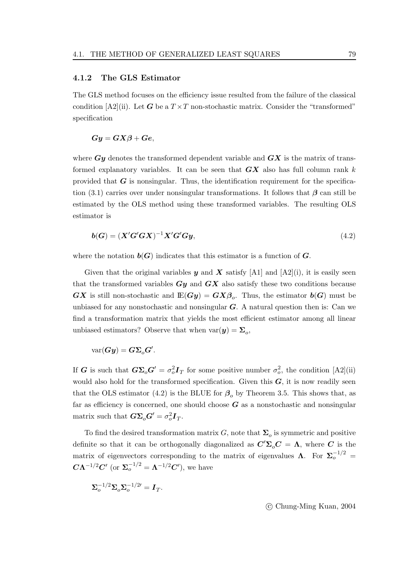#### **4.1.2 The GLS Estimator**

The GLS method focuses on the efficiency issue resulted from the failure of the classical condition  $[A2]$ (ii). Let *G* be a  $T \times T$  non-stochastic matrix. Consider the "transformed" specification

$$
Gy = GX\beta + Ge,
$$

where *Gy* denotes the transformed dependent variable and *GX* is the matrix of transformed explanatory variables. It can be seen that *GX* also has full column rank k provided that *G* is nonsingular. Thus, the identification requirement for the specification (3.1) carries over under nonsingular transformations. It follows that  $\beta$  can still be estimated by the OLS method using these transformed variables. The resulting OLS estimator is

$$
b(G) = (X'G'GX)^{-1}X'G'Gy,\tag{4.2}
$$

where the notation  $b(G)$  indicates that this estimator is a function of  $G$ .

Given that the original variables  $y$  and  $X$  satisfy [A1] and [A2](i), it is easily seen that the transformed variables *Gy* and *GX* also satisfy these two conditions because *GX* is still non-stochastic and  $E(Gy) = GX\beta_o$ . Thus, the estimator  $b(G)$  must be unbiased for any nonstochastic and nonsingular *G*. A natural question then is: Can we find a transformation matrix that yields the most efficient estimator among all linear unbiased estimators? Observe that when  $var(y) = \sum_{\alpha}$ 

$$
\text{var}(\boldsymbol{G}\boldsymbol{y}) = \boldsymbol{G}\boldsymbol{\Sigma}_o\boldsymbol{G}'.
$$

If *G* is such that  $G\Sigma_o G' = \sigma_o^2 I_T$  for some positive number  $\sigma_o^2$ , the condition [A2](ii) would also hold for the transformed specification. Given this *G*, it is now readily seen that the OLS estimator (4.2) is the BLUE for  $\beta_0$  by Theorem 3.5. This shows that, as far as efficiency is concerned, one should choose  $G$  as a nonstochastic and nonsingular matrix such that  $\mathbf{G}\mathbf{\Sigma}_o\mathbf{G}' = \sigma_o^2\mathbf{I}_T$ .

To find the desired transformation matrix G, note that  $\Sigma_o$  is symmetric and positive definite so that it can be orthogonally diagonalized as  $C'\Sigma_o C = \Lambda$ , where *C* is the matrix of eigenvectors corresponding to the matrix of eigenvalues **Λ**. For  $\Sigma_o^{-1/2}$  =  $C**Λ**<sup>-1/2</sup>**C**'$  (or **), we have** 

$$
\boldsymbol{\Sigma}_{o}^{-1/2}\boldsymbol{\Sigma}_{o}\boldsymbol{\Sigma}_{o}^{-1/2\prime}=\boldsymbol{I}_T.
$$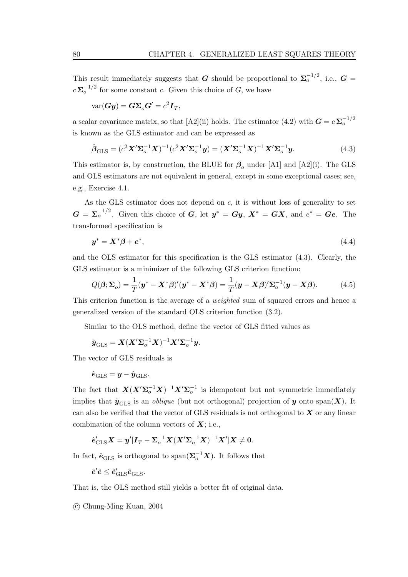This result immediately suggests that *G* should be proportional to  $\Sigma_o^{-1/2}$ , i.e., *G* =  $c \sum_{n=0}^{\infty} c^{n-1/2}$  for some constant c. Given this choice of G, we have

$$
\text{var}(\boldsymbol{G}\boldsymbol{y}) = \boldsymbol{G}\boldsymbol{\Sigma}_o\boldsymbol{G}' = c^2\boldsymbol{I}_T,
$$

a scalar covariance matrix, so that [A2](ii) holds. The estimator (4.2) with  $G = c \sum_{o}^{-1/2}$ is known as the GLS estimator and can be expressed as

$$
\hat{\boldsymbol{\beta}}_{\text{GLS}} = (c^2 \mathbf{X}' \Sigma_o^{-1} \mathbf{X})^{-1} (c^2 \mathbf{X}' \Sigma_o^{-1} \mathbf{y}) = (\mathbf{X}' \Sigma_o^{-1} \mathbf{X})^{-1} \mathbf{X}' \Sigma_o^{-1} \mathbf{y}.
$$
(4.3)

This estimator is, by construction, the BLUE for  $\beta_o$  under [A1] and [A2](i). The GLS and OLS estimators are not equivalent in general, except in some exceptional cases; see, e.g., Exercise 4.1.

As the GLS estimator does not depend on  $c$ , it is without loss of generality to set  $G = \Sigma_o^{-1/2}$ . Given this choice of *G*, let  $y^* = Gy$ ,  $X^* = GX$ , and  $e^* = Ge$ . The transformed specification is

$$
\mathbf{y}^* = \mathbf{X}^* \boldsymbol{\beta} + \boldsymbol{e}^*,\tag{4.4}
$$

and the OLS estimator for this specification is the GLS estimator (4.3). Clearly, the GLS estimator is a minimizer of the following GLS criterion function:

$$
Q(\boldsymbol{\beta}; \boldsymbol{\Sigma}_o) = \frac{1}{T} (\boldsymbol{y}^* - \boldsymbol{X}^* \boldsymbol{\beta})' (\boldsymbol{y}^* - \boldsymbol{X}^* \boldsymbol{\beta}) = \frac{1}{T} (\boldsymbol{y} - \boldsymbol{X} \boldsymbol{\beta})' \boldsymbol{\Sigma}_o^{-1} (\boldsymbol{y} - \boldsymbol{X} \boldsymbol{\beta}). \tag{4.5}
$$

This criterion function is the average of a weighted sum of squared errors and hence a generalized version of the standard OLS criterion function (3.2).

Similar to the OLS method, define the vector of GLS fitted values as

$$
\hat{\boldsymbol{y}}_{\mathrm{GLS}} = \boldsymbol{X} (\boldsymbol{X}' \boldsymbol{\Sigma}_o^{-1} \boldsymbol{X})^{-1} \boldsymbol{X}' \boldsymbol{\Sigma}_o^{-1} \boldsymbol{y}.
$$

The vector of GLS residuals is

$$
\hat{\boldsymbol{e}}_{\text{GLS}} = \boldsymbol{y} - \hat{\boldsymbol{y}}_{\text{GLS}}.
$$

The fact that  $X(X^{\prime}\Sigma_{o}^{-1}X)^{-1}X^{\prime}\Sigma_{o}^{-1}$  is idempotent but not symmetric immediately implies that  $\hat{\mathbf{y}}_{\text{GLS}}$  is an *oblique* (but not orthogonal) projection of *y* onto span(*X*). It can also be verified that the vector of GLS residuals is not orthogonal to *X* or any linear combination of the column vectors of *X*; i.e.,

$$
\hat{\boldsymbol{e}}_{\mathrm{GLS}}' \boldsymbol{X} = \boldsymbol{y}' [\boldsymbol{I}_T - \boldsymbol{\Sigma}_o^{-1} \boldsymbol{X} (\boldsymbol{X}' \boldsymbol{\Sigma}_o^{-1} \boldsymbol{X})^{-1} \boldsymbol{X}'] \boldsymbol{X} \neq \boldsymbol{0}.
$$

In fact,  $\hat{\mathbf{e}}_{\text{GLS}}$  is orthogonal to span $(\mathbf{\Sigma}_o^{-1} \mathbf{X})$ . It follows that

 $\hat{\boldsymbol{e}}'\hat{\boldsymbol{e}} \leq \hat{\boldsymbol{e}}'_\mathrm{GLS}\hat{\boldsymbol{e}}_\mathrm{GLS}.$ 

That is, the OLS method still yields a better fit of original data.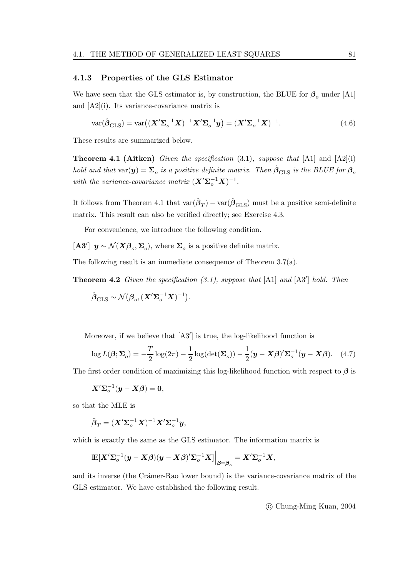#### **4.1.3 Properties of the GLS Estimator**

We have seen that the GLS estimator is, by construction, the BLUE for  $\beta_o$  under [A1] and [A2](i). Its variance-covariance matrix is

$$
\text{var}(\hat{\boldsymbol{\beta}}_{\text{GLS}}) = \text{var}\big((\boldsymbol{X}'\boldsymbol{\Sigma}_o^{-1}\boldsymbol{X})^{-1}\boldsymbol{X}'\boldsymbol{\Sigma}_o^{-1}\boldsymbol{y}\big) = (\boldsymbol{X}'\boldsymbol{\Sigma}_o^{-1}\boldsymbol{X})^{-1}.
$$
\n(4.6)

These results are summarized below.

**Theorem 4.1 (Aitken)** Given the specification  $(3.1)$ , suppose that  $[A1]$  and  $[A2](i)$ hold and that var $(y) = \Sigma_o$  is a positive definite matrix. Then  $\hat{\beta}_{\text{GLS}}$  is the BLUE for  $\beta_o$ with the variance-covariance matrix  $(\mathbf{X}'\mathbf{\Sigma}_{o}^{-1}\mathbf{X})^{-1}$ .

It follows from Theorem 4.1 that  $var(\hat{\boldsymbol{\beta}}_T) - var(\hat{\boldsymbol{\beta}}_{\text{GLS}})$  must be a positive semi-definite matrix. This result can also be verified directly; see Exercise 4.3.

For convenience, we introduce the following condition.

**[A3'**]  $\mathbf{y} \sim \mathcal{N}(\mathbf{X}\boldsymbol{\beta}_o, \boldsymbol{\Sigma}_o)$ , where  $\boldsymbol{\Sigma}_o$  is a positive definite matrix.

The following result is an immediate consequence of Theorem 3.7(a).

**Theorem 4.2** Given the specification  $(3.1)$ , suppose that  $[A1]$  and  $[A3']$  hold. Then

$$
\hat{\boldsymbol{\beta}}_{\mathrm{GLS}} \sim \mathcal{N}(\boldsymbol{\beta}_o, (\boldsymbol{X}'\boldsymbol{\Sigma}_o^{-1}\boldsymbol{X})^{-1}).
$$

Moreover, if we believe that  $[A3']$  is true, the log-likelihood function is

$$
\log L(\boldsymbol{\beta}; \boldsymbol{\Sigma}_o) = -\frac{T}{2} \log(2\pi) - \frac{1}{2} \log(\det(\boldsymbol{\Sigma}_o)) - \frac{1}{2} (\boldsymbol{y} - \boldsymbol{X}\boldsymbol{\beta})' \boldsymbol{\Sigma}_o^{-1} (\boldsymbol{y} - \boldsymbol{X}\boldsymbol{\beta}). \tag{4.7}
$$

The first order condition of maximizing this log-likelihood function with respect to *β* is

$$
\boldsymbol{X}' \boldsymbol{\Sigma}_o^{-1} (\boldsymbol{y} - \boldsymbol{X} \boldsymbol{\beta}) = \boldsymbol{0},
$$

so that the MLE is

$$
\tilde{\boldsymbol{\beta}}_T = (\boldsymbol{X}' \boldsymbol{\Sigma}_o^{-1} \boldsymbol{X})^{-1} \boldsymbol{X}' \boldsymbol{\Sigma}_o^{-1} \boldsymbol{y},
$$

which is exactly the same as the GLS estimator. The information matrix is

$$
\mathop{\mathrm{I\!E}}[X'\pmb{\Sigma}^{-1}_o(y-X\beta)(y-X\beta)'\pmb{\Sigma}^{-1}_oX]\bigg|_{\pmb{\beta}=\pmb{\beta}_o}=X'\pmb{\Sigma}^{-1}_oX,
$$

and its inverse (the Crámer-Rao lower bound) is the variance-covariance matrix of the GLS estimator. We have established the following result.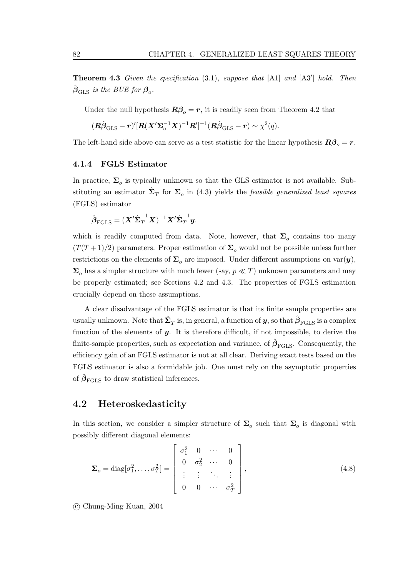**Theorem 4.3** Given the specification  $(3.1)$ , suppose that  $[A1]$  and  $[A3']$  hold. Then  $\beta_{\text{GLS}}$  is the BUE for  $\beta_o$ .

Under the null hypothesis  $\mathbb{R}\beta_o = r$ , it is readily seen from Theorem 4.2 that

$$
(\mathbf{R}\hat{\boldsymbol{\beta}}_{\mathrm{GLS}}-\mathbf{r})'[\mathbf{R}(\mathbf{X}'\boldsymbol{\Sigma}_o^{-1}\mathbf{X})^{-1}\mathbf{R}']^{-1}(\mathbf{R}\hat{\boldsymbol{\beta}}_{\mathrm{GLS}}-\mathbf{r})\sim\chi^2(q).
$$

The left-hand side above can serve as a test statistic for the linear hypothesis  $\mathbf{R}\beta_o = \mathbf{r}$ .

#### **4.1.4 FGLS Estimator**

In practice,  $\Sigma_o$  is typically unknown so that the GLS estimator is not available. Substituting an estimator  $\hat{\Sigma}_T$  for  $\Sigma_o$  in (4.3) yields the *feasible generalized least squares* (FGLS) estimator

$$
\hat{\boldsymbol{\beta}}_{\text{FGLS}} = (\boldsymbol{X}' \hat{\boldsymbol{\Sigma}}_T^{-1} \boldsymbol{X})^{-1} \boldsymbol{X}' \hat{\boldsymbol{\Sigma}}_T^{-1} \boldsymbol{y}.
$$

which is readily computed from data. Note, however, that  $\Sigma_o$  contains too many  $(T(T+1)/2)$  parameters. Proper estimation of  $\Sigma<sub>o</sub>$  would not be possible unless further restrictions on the elements of  $\Sigma_o$  are imposed. Under different assumptions on var $(y)$ ,  $\Sigma_o$  has a simpler structure with much fewer (say,  $p \ll T$ ) unknown parameters and may be properly estimated; see Sections 4.2 and 4.3. The properties of FGLS estimation crucially depend on these assumptions.

A clear disadvantage of the FGLS estimator is that its finite sample properties are usually unknown. Note that  $\Sigma_T$  is, in general, a function of *y*, so that  $\beta_{\text{FGLS}}$  is a complex function of the elements of *y*. It is therefore difficult, if not impossible, to derive the finite-sample properties, such as expectation and variance, of  $\hat{\beta}_{\text{FGLS}}$ . Consequently, the efficiency gain of an FGLS estimator is not at all clear. Deriving exact tests based on the FGLS estimator is also a formidable job. One must rely on the asymptotic properties of  $\hat{\beta}_{\text{FGLS}}$  to draw statistical inferences.

## **4.2 Heteroskedasticity**

In this section, we consider a simpler structure of  $\Sigma_o$  such that  $\Sigma_o$  is diagonal with possibly different diagonal elements:

$$
\Sigma_o = \text{diag}[\sigma_1^2, \dots, \sigma_T^2] = \begin{bmatrix} \sigma_1^2 & 0 & \cdots & 0 \\ 0 & \sigma_2^2 & \cdots & 0 \\ \vdots & \vdots & \ddots & \vdots \\ 0 & 0 & \cdots & \sigma_T^2 \end{bmatrix},
$$
\n(4.8)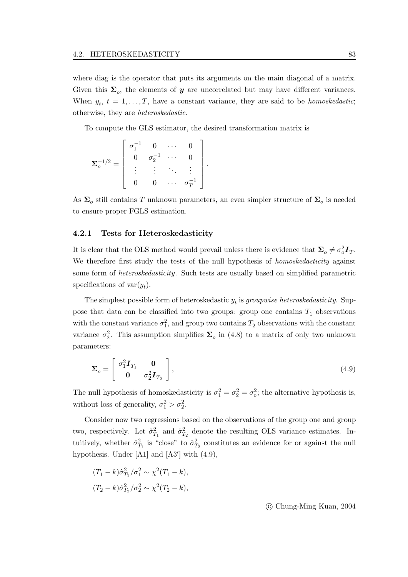where diag is the operator that puts its arguments on the main diagonal of a matrix. Given this  $\Sigma_{\alpha}$ , the elements of *y* are uncorrelated but may have different variances. When  $y_t$ ,  $t = 1, \ldots, T$ , have a constant variance, they are said to be *homoskedastic*; otherwise, they are heteroskedastic.

To compute the GLS estimator, the desired transformation matrix is

$$
\pmb{\Sigma}^{-1/2}_{o} = \left[ \begin{array}{cccc} \sigma_1^{-1} & 0 & \cdots & 0 \\ 0 & \sigma_2^{-1} & \cdots & 0 \\ \vdots & \vdots & \ddots & \vdots \\ 0 & 0 & \cdots & \sigma_T^{-1} \end{array} \right]
$$

As  $\Sigma_o$  still contains T unknown parameters, an even simpler structure of  $\Sigma_o$  is needed to ensure proper FGLS estimation.

.

#### **4.2.1 Tests for Heteroskedasticity**

It is clear that the OLS method would prevail unless there is evidence that  $\Sigma_o \neq \sigma_o^2 \mathbf{I}_T$ . We therefore first study the tests of the null hypothesis of *homoskedasticity* against some form of heteroskedasticity. Such tests are usually based on simplified parametric specifications of  $var(y_t)$ .

The simplest possible form of heteroskedastic  $y_t$  is groupwise heteroskedasticity. Suppose that data can be classified into two groups: group one contains  $T_1$  observations with the constant variance  $\sigma_1^2$ , and group two contains  $T_2$  observations with the constant variance  $\sigma_2^2$ . This assumption simplifies  $\Sigma_o$  in (4.8) to a matrix of only two unknown parameters:

$$
\Sigma_o = \begin{bmatrix} \sigma_1^2 \boldsymbol{I}_{T_1} & \mathbf{0} \\ \mathbf{0} & \sigma_2^2 \boldsymbol{I}_{T_2} \end{bmatrix},\tag{4.9}
$$

The null hypothesis of homoskedasticity is  $\sigma_1^2 = \sigma_2^2 = \sigma_0^2$ ; the alternative hypothesis is, without loss of generality,  $\sigma_1^2 > \sigma_2^2$ .

Consider now two regressions based on the observations of the group one and group two, respectively. Let  $\hat{\sigma}_{T_1}^2$  and  $\hat{\sigma}_{T_2}^2$  denote the resulting OLS variance estimates. Intuitively, whether  $\hat{\sigma}_{T_1}^2$  is "close" to  $\hat{\sigma}_{T_2}^2$  constitutes an evidence for or against the null hypothesis. Under  $[A1]$  and  $[A3']$  with  $(4.9)$ ,

$$
(T_1 - k)\hat{\sigma}_{T_1}^2 / \sigma_1^2 \sim \chi^2 (T_1 - k),
$$
  

$$
(T_2 - k)\hat{\sigma}_{T_2}^2 / \sigma_2^2 \sim \chi^2 (T_2 - k),
$$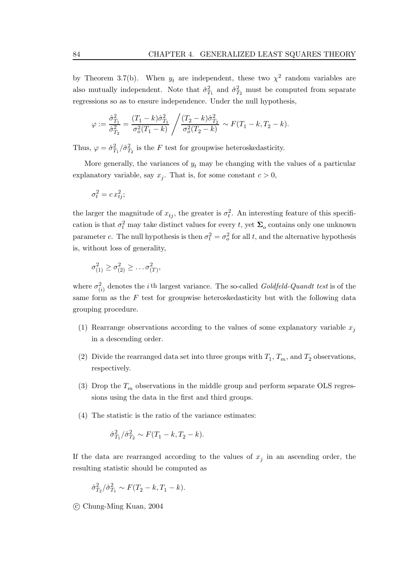by Theorem 3.7(b). When  $y_t$  are independent, these two  $\chi^2$  random variables are also mutually independent. Note that  $\hat{\sigma}_{T_1}^2$  and  $\hat{\sigma}_{T_2}^2$  must be computed from separate regressions so as to ensure independence. Under the null hypothesis,

$$
\varphi:=\frac{\hat{\sigma}_{T_1}^2}{\hat{\sigma}_{T_2}^2}=\frac{(T_1-k)\hat{\sigma}_{T_1}^2}{\sigma_o^2(T_1-k)}\left/\frac{(T_2-k)\hat{\sigma}_{T_2}^2}{\sigma_o^2(T_2-k)}\right.\sim F(T_1-k,T_2-k).
$$

Thus,  $\varphi = \hat{\sigma}_{T_1}^2 / \hat{\sigma}_{T_2}^2$  is the F test for groupwise heteroskedasticity.

More generally, the variances of  $y_t$  may be changing with the values of a particular explanatory variable, say  $x_j$ . That is, for some constant  $c > 0$ ,

$$
\sigma_t^2 = c x_{tj}^2;
$$

the larger the magnitude of  $x_{tj}$ , the greater is  $\sigma_t^2$ . An interesting feature of this specification is that  $\sigma_t^2$  may take distinct values for every t, yet  $\Sigma_o$  contains only one unknown parameter c. The null hypothesis is then  $\sigma_t^2 = \sigma_o^2$  for all t, and the alternative hypothesis is, without loss of generality,

$$
\sigma_{(1)}^2 \geq \sigma_{(2)}^2 \geq \ldots \sigma_{(T)}^2,
$$

where  $\sigma_{(i)}^2$  denotes the *i*<sup>th</sup> largest variance. The so-called *Goldfeld-Quandt test* is of the same form as the  $F$  test for groupwise heteroskedasticity but with the following data grouping procedure.

- (1) Rearrange observations according to the values of some explanatory variable  $x_j$ in a descending order.
- (2) Divide the rearranged data set into three groups with  $T_1$ ,  $T_m$ , and  $T_2$  observations, respectively.
- (3) Drop the  $T_m$  observations in the middle group and perform separate OLS regressions using the data in the first and third groups.
- (4) The statistic is the ratio of the variance estimates:

$$
\hat{\sigma}_{T_1}^2 / \hat{\sigma}_{T_2}^2 \sim F(T_1 - k, T_2 - k).
$$

If the data are rearranged according to the values of  $x_j$  in an ascending order, the resulting statistic should be computed as

$$
\hat{\sigma}_{T_2}^2 / \hat{\sigma}_{T_1}^2 \sim F(T_2 - k, T_1 - k).
$$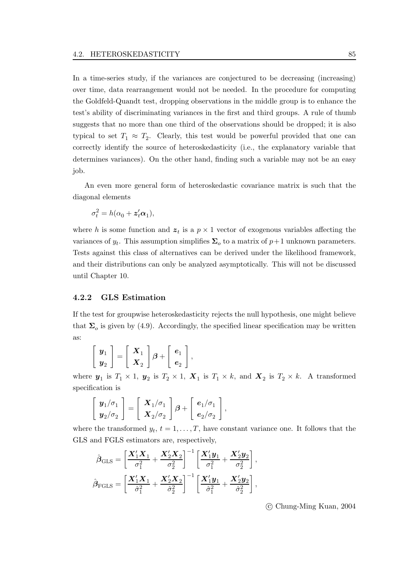In a time-series study, if the variances are conjectured to be decreasing (increasing) over time, data rearrangement would not be needed. In the procedure for computing the Goldfeld-Quandt test, dropping observations in the middle group is to enhance the test's ability of discriminating variances in the first and third groups. A rule of thumb suggests that no more than one third of the observations should be dropped; it is also typical to set  $T_1 \approx T_2$ . Clearly, this test would be powerful provided that one can correctly identify the source of heteroskedasticity (i.e., the explanatory variable that determines variances). On the other hand, finding such a variable may not be an easy job.

An even more general form of heteroskedastic covariance matrix is such that the diagonal elements

$$
\sigma_t^2 = h(\alpha_0 + \mathbf{z}_t' \alpha_1),
$$

where h is some function and  $z_t$  is a  $p \times 1$  vector of exogenous variables affecting the variances of  $y_t$ . This assumption simplifies  $\Sigma_o$  to a matrix of  $p+1$  unknown parameters. Tests against this class of alternatives can be derived under the likelihood framework, and their distributions can only be analyzed asymptotically. This will not be discussed until Chapter 10.

#### **4.2.2 GLS Estimation**

If the test for groupwise heteroskedasticity rejects the null hypothesis, one might believe that  $\Sigma_o$  is given by (4.9). Accordingly, the specified linear specification may be written as:

$$
\left[\begin{array}{c} \boldsymbol{y}_1 \\ \boldsymbol{y}_2 \end{array}\right] = \left[\begin{array}{c} \boldsymbol{X}_1 \\ \boldsymbol{X}_2 \end{array}\right] \boldsymbol{\beta} + \left[\begin{array}{c} \boldsymbol{e}_1 \\ \boldsymbol{e}_2 \end{array}\right],
$$

where  $y_1$  is  $T_1 \times 1$ ,  $y_2$  is  $T_2 \times 1$ ,  $X_1$  is  $T_1 \times k$ , and  $X_2$  is  $T_2 \times k$ . A transformed specification is

$$
\left[\begin{array}{c} \mathbf{y}_1/\sigma_1 \\ \mathbf{y}_2/\sigma_2 \end{array}\right] = \left[\begin{array}{c} \mathbf{X}_1/\sigma_1 \\ \mathbf{X}_2/\sigma_2 \end{array}\right] \boldsymbol{\beta} + \left[\begin{array}{c} \boldsymbol{e}_1/\sigma_1 \\ \boldsymbol{e}_2/\sigma_2 \end{array}\right],
$$

where the transformed  $y_t$ ,  $t = 1, \ldots, T$ , have constant variance one. It follows that the GLS and FGLS estimators are, respectively,

$$
\hat{\beta}_{\text{GLS}} = \left[\frac{\boldsymbol{X}_1'\boldsymbol{X}_1}{\sigma_1^2} + \frac{\boldsymbol{X}_2'\boldsymbol{X}_2}{\sigma_2^2}\right]^{-1} \left[\frac{\boldsymbol{X}_1'\boldsymbol{y}_1}{\sigma_1^2} + \frac{\boldsymbol{X}_2'\boldsymbol{y}_2}{\sigma_2^2}\right],
$$

$$
\hat{\beta}_{\text{FGLS}} = \left[\frac{\boldsymbol{X}_1'\boldsymbol{X}_1}{\hat{\sigma}_1^2} + \frac{\boldsymbol{X}_2'\boldsymbol{X}_2}{\hat{\sigma}_2^2}\right]^{-1} \left[\frac{\boldsymbol{X}_1'\boldsymbol{y}_1}{\hat{\sigma}_1^2} + \frac{\boldsymbol{X}_2'\boldsymbol{y}_2}{\hat{\sigma}_2^2}\right],
$$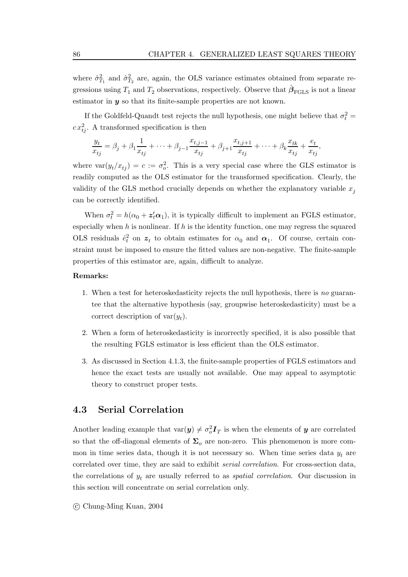where  $\hat{\sigma}_{T_1}^2$  and  $\hat{\sigma}_{T_2}^2$  are, again, the OLS variance estimates obtained from separate regressions using  $T_1$  and  $T_2$  observations, respectively. Observe that  $\beta_{\text{FGLS}}$  is not a linear estimator in *y* so that its finite-sample properties are not known.

If the Goldfeld-Quandt test rejects the null hypothesis, one might believe that  $\sigma_t^2 =$  $c x_{tj}^2$ . A transformed specification is then

$$
\frac{y_t}{x_{tj}} = \beta_j + \beta_1 \frac{1}{x_{tj}} + \dots + \beta_{j-1} \frac{x_{t,j-1}}{x_{tj}} + \beta_{j+1} \frac{x_{t,j+1}}{x_{tj}} + \dots + \beta_k \frac{x_{tk}}{x_{tj}} + \frac{e_t}{x_{tj}},
$$

where  $var(y_t/x_{tj}) = c := \sigma_o^2$ . This is a very special case where the GLS estimator is readily computed as the OLS estimator for the transformed specification. Clearly, the validity of the GLS method crucially depends on whether the explanatory variable  $x_j$ can be correctly identified.

When  $\sigma_t^2 = h(\alpha_0 + z_t^{\prime} \alpha_1)$ , it is typically difficult to implement an FGLS estimator, especially when  $h$  is nonlinear. If  $h$  is the identity function, one may regress the squared OLS residuals  $\hat{e}_t^2$  on  $z_t$  to obtain estimates for  $\alpha_0$  and  $\alpha_1$ . Of course, certain constraint must be imposed to ensure the fitted values are non-negative. The finite-sample properties of this estimator are, again, difficult to analyze.

#### **Remarks:**

- 1. When a test for heteroskedasticity rejects the null hypothesis, there is no guarantee that the alternative hypothesis (say, groupwise heteroskedasticity) must be a correct description of  $var(y_t)$ .
- 2. When a form of heteroskedasticity is incorrectly specified, it is also possible that the resulting FGLS estimator is less efficient than the OLS estimator.
- 3. As discussed in Section 4.1.3, the finite-sample properties of FGLS estimators and hence the exact tests are usually not available. One may appeal to asymptotic theory to construct proper tests.

## **4.3 Serial Correlation**

Another leading example that  $\text{var}(y) \neq \sigma_o^2 \mathbf{I}_T$  is when the elements of  $y$  are correlated so that the off-diagonal elements of  $\Sigma_o$  are non-zero. This phenomenon is more common in time series data, though it is not necessary so. When time series data  $y_t$  are correlated over time, they are said to exhibit serial correlation. For cross-section data, the correlations of  $y_t$  are usually referred to as *spatial correlation*. Our discussion in this section will concentrate on serial correlation only.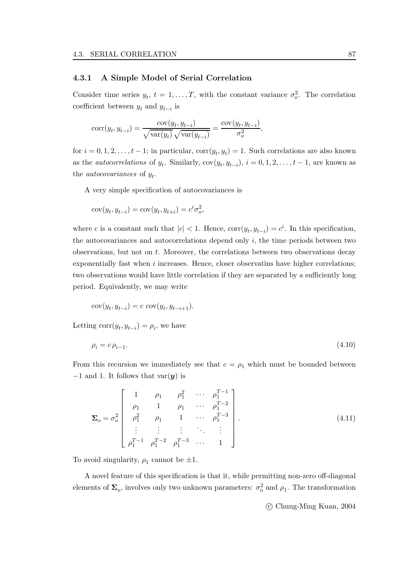#### **4.3.1 A Simple Model of Serial Correlation**

Consider time series  $y_t$ ,  $t = 1, ..., T$ , with the constant variance  $\sigma_o^2$ . The correlation coefficient between  $y_t$  and  $y_{t-i}$  is

$$
corr(y_t, y_{t-i}) = \frac{cov(y_t, y_{t-i})}{\sqrt{var(y_t)}\sqrt{var(y_{t-i})}} = \frac{cov(y_t, y_{t-i})}{\sigma_o^2},
$$

for  $i = 0, 1, 2, \ldots, t-1$ ; in particular,  $corr(y_t, y_t) = 1$ . Such correlations are also known as the *autocorrelations* of  $y_t$ . Similarly,  $cov(y_t, y_{t-i}), i = 0, 1, 2, \ldots, t-1$ , are known as the *autocovariances* of  $y_t$ .

A very simple specification of autocovariances is

$$
cov(y_t, y_{t-i}) = cov(y_t, y_{t+i}) = c^i \sigma_o^2,
$$

where c is a constant such that  $|c| < 1$ . Hence,  $corr(y_t, y_{t-i}) = c^i$ . In this specification, the autocovariances and autocorrelations depend only  $i$ , the time periods between two observations, but not on t. Moreover, the correlations between two observations decay exponentially fast when  $i$  increases. Hence, closer observatins have higher correlations; two observations would have little correlation if they are separated by a sufficiently long period. Equivalently, we may write

$$
cov(yt, yt-i) = c cov(yt, yt-i+1).
$$

Letting corr $(y_t, y_{t-i}) = \rho_i$ , we have

$$
\rho_i = c \,\rho_{i-1}.\tag{4.10}
$$

From this recursion we immediately see that  $c = \rho_1$  which must be bounded between −1 and 1. It follows that var(*y*) is

$$
\Sigma_o = \sigma_o^2 \begin{bmatrix} 1 & \rho_1 & \rho_1^2 & \cdots & \rho_1^{T-1} \\ \rho_1 & 1 & \rho_1 & \cdots & \rho_1^{T-2} \\ \rho_1^2 & \rho_1 & 1 & \cdots & \rho_1^{T-3} \\ \vdots & \vdots & \vdots & \ddots & \vdots \\ \rho_1^{T-1} & \rho_1^{T-2} & \rho_1^{T-3} & \cdots & 1 \end{bmatrix} .
$$
 (4.11)

To avoid singularity,  $\rho_1$  cannot be  $\pm 1$ .

A novel feature of this specification is that it, while permitting non-zero off-diagonal elements of  $\Sigma_o$ , involves only two unknown parameters:  $\sigma_o^2$  and  $\rho_1$ . The transformation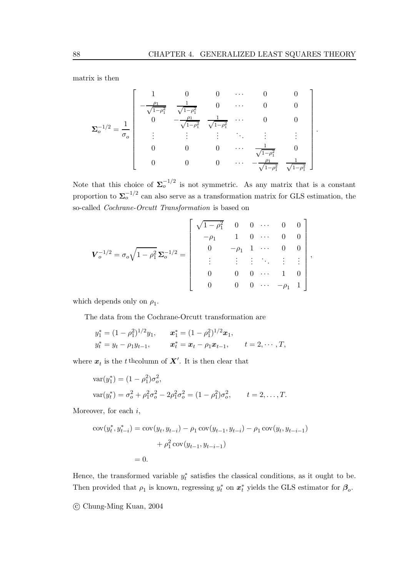.

matrix is then

$$
\mathbf{\Sigma}_{o}^{-1/2} = \frac{1}{\sigma_{o}} \begin{bmatrix} 1 & 0 & 0 & \cdots & 0 & 0 \\ -\frac{\rho_{1}}{\sqrt{1-\rho_{1}^{2}}} & \frac{1}{\sqrt{1-\rho_{1}^{2}}} & 0 & \cdots & 0 & 0 \\ 0 & -\frac{\rho_{1}}{\sqrt{1-\rho_{1}^{2}}} & \frac{1}{\sqrt{1-\rho_{1}^{2}}} & \cdots & 0 & 0 \\ \vdots & \vdots & \vdots & \ddots & \vdots & \vdots \\ 0 & 0 & 0 & \cdots & \frac{1}{\sqrt{1-\rho_{1}^{2}}} & 0 \\ 0 & 0 & 0 & \cdots & -\frac{\rho_{1}}{\sqrt{1-\rho_{1}^{2}}} & \frac{1}{\sqrt{1-\rho_{1}^{2}}} \end{bmatrix}
$$

Note that this choice of  $\Sigma_o^{-1/2}$  is not symmetric. As any matrix that is a constant proportion to  $\Sigma_o^{-1/2}$  can also serve as a transformation matrix for GLS estimation, the so-called Cochrane-Orcutt Transformation is based on

$$
\boldsymbol{V}_o^{-1/2} = \sigma_o \sqrt{1 - \rho_1^2} \, \boldsymbol{\Sigma}_o^{-1/2} = \left[ \begin{array}{ccccc} \sqrt{1 - \rho_1^2} & 0 & 0 & \cdots & 0 & 0 \\ -\rho_1 & 1 & 0 & \cdots & 0 & 0 \\ 0 & -\rho_1 & 1 & \cdots & 0 & 0 \\ \vdots & \vdots & \vdots & \ddots & \vdots & \vdots \\ 0 & 0 & 0 & \cdots & 1 & 0 \\ 0 & 0 & 0 & \cdots & -\rho_1 & 1 \end{array} \right],
$$

which depends only on  $\rho_1$ .

The data from the Cochrane-Orcutt transformation are

$$
y_1^* = (1 - \rho_1^2)^{1/2} y_1,
$$
  $x_1^* = (1 - \rho_1^2)^{1/2} x_1,$   
\n $y_t^* = y_t - \rho_1 y_{t-1},$   $x_t^* = x_t - \rho_1 x_{t-1},$   $t = 2, \dots, T,$ 

where  $x_t$  is the t<sup>th</sup>column of  $X'$ . It is then clear that

$$
\begin{aligned} \n\text{var}(y_1^*) &= (1 - \rho_1^2)\sigma_o^2, \\ \n\text{var}(y_t^*) &= \sigma_o^2 + \rho_1^2 \sigma_o^2 - 2\rho_1^2 \sigma_o^2 = (1 - \rho_1^2)\sigma_o^2, \qquad t = 2, \dots, T. \n\end{aligned}
$$

Moreover, for each  $i$ ,

$$
cov(y_t^*, y_{t-i}^*) = cov(y_t, y_{t-i}) - \rho_1 cov(y_{t-1}, y_{t-i}) - \rho_1 cov(y_t, y_{t-i-1})
$$

$$
+ \rho_1^2 cov(y_{t-1}, y_{t-i-1})
$$

$$
= 0.
$$

Hence, the transformed variable  $y_t^*$  satisfies the classical conditions, as it ought to be. Then provided that  $\rho_1$  is known, regressing  $y_t^*$  on  $x_t^*$  yields the GLS estimator for  $\beta_o$ .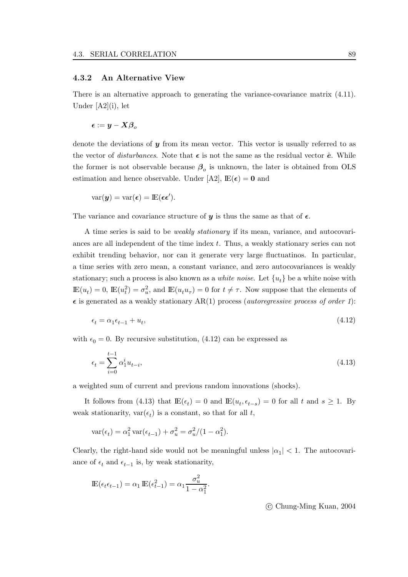#### **4.3.2 An Alternative View**

There is an alternative approach to generating the variance-covariance matrix (4.11). Under [A2](i), let

$$
\boldsymbol{\epsilon} := \boldsymbol{y} - \boldsymbol{X} \boldsymbol{\beta}_o
$$

denote the deviations of *y* from its mean vector. This vector is usually referred to as the vector of *disturbances*. Note that  $\epsilon$  is not the same as the residual vector  $\hat{e}$ . While the former is not observable because  $\beta_o$  is unknown, the later is obtained from OLS estimation and hence observable. Under [A2],  $\mathbb{E}(\epsilon) = 0$  and

$$
var(\boldsymbol{y}) = var(\boldsymbol{\epsilon}) = \mathbb{E}(\boldsymbol{\epsilon}\boldsymbol{\epsilon}').
$$

The variance and covariance structure of  $y$  is thus the same as that of  $\epsilon$ .

A time series is said to be weakly stationary if its mean, variance, and autocovariances are all independent of the time index  $t$ . Thus, a weakly stationary series can not exhibit trending behavior, nor can it generate very large fluctuatinos. In particular, a time series with zero mean, a constant variance, and zero autocovariances is weakly stationary; such a process is also known as a *white noise*. Let  $\{u_t\}$  be a white noise with  $\mathbb{E}(u_t) = 0$ ,  $\mathbb{E}(u_t^2) = \sigma_u^2$ , and  $\mathbb{E}(u_t u_\tau) = 0$  for  $t \neq \tau$ . Now suppose that the elements of  $\epsilon$  is generated as a weakly stationary AR(1) process (*autoregressive process of order 1*):

$$
\epsilon_t = \alpha_1 \epsilon_{t-1} + u_t,\tag{4.12}
$$

with  $\epsilon_0 = 0$ . By recursive substitution, (4.12) can be expressed as

$$
\epsilon_t = \sum_{i=0}^{t-1} \alpha_1^i u_{t-i},\tag{4.13}
$$

a weighted sum of current and previous random innovations (shocks).

It follows from (4.13) that  $\mathbb{E}(\epsilon_t) = 0$  and  $\mathbb{E}(u_t, \epsilon_{t-s}) = 0$  for all t and  $s \geq 1$ . By weak stationarity,  $var(\epsilon_t)$  is a constant, so that for all t,

$$
\text{var}(\epsilon_t) = \alpha_1^2 \, \text{var}(\epsilon_{t-1}) + \sigma_u^2 = \sigma_u^2 / (1 - \alpha_1^2).
$$

Clearly, the right-hand side would not be meaningful unless  $|\alpha_1| < 1$ . The autocovariance of  $\epsilon_t$  and  $\epsilon_{t-1}$  is, by weak stationarity,

$$
\mathbb{E}(\epsilon_t \epsilon_{t-1}) = \alpha_1 \mathbb{E}(\epsilon_{t-1}^2) = \alpha_1 \frac{\sigma_u^2}{1 - \alpha_1^2}.
$$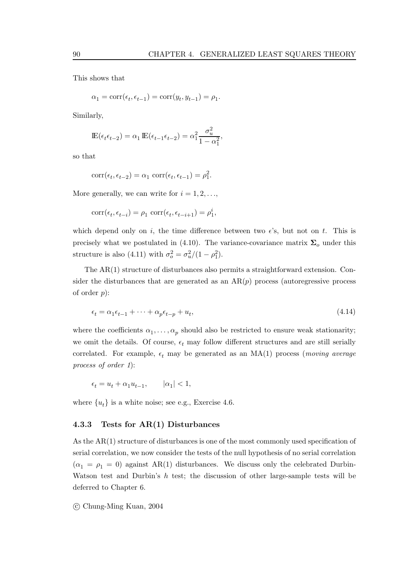This shows that

$$
\alpha_1 = \text{corr}(\epsilon_t, \epsilon_{t-1}) = \text{corr}(y_t, y_{t-1}) = \rho_1.
$$

Similarly,

$$
\mathbb{E}(\epsilon_t \epsilon_{t-2}) = \alpha_1 \mathbb{E}(\epsilon_{t-1} \epsilon_{t-2}) = \alpha_1^2 \frac{\sigma_u^2}{1 - \alpha_1^2},
$$

so that

$$
corr(\epsilon_t, \epsilon_{t-2}) = \alpha_1 \, corr(\epsilon_t, \epsilon_{t-1}) = \rho_1^2.
$$

More generally, we can write for  $i = 1, 2, \ldots$ ,

$$
corr(\epsilon_t, \epsilon_{t-i}) = \rho_1 \, \, corr(\epsilon_t, \epsilon_{t-i+1}) = \rho_1^i,
$$

which depend only on i, the time difference between two  $\epsilon$ 's, but not on t. This is precisely what we postulated in (4.10). The variance-covariance matrix  $\Sigma_o$  under this structure is also (4.11) with  $\sigma_o^2 = \sigma_u^2/(1 - \rho_1^2)$ .

The AR(1) structure of disturbances also permits a straightforward extension. Consider the disturbances that are generated as an  $AR(p)$  process (autoregressive process of order  $p$ :

$$
\epsilon_t = \alpha_1 \epsilon_{t-1} + \dots + \alpha_p \epsilon_{t-p} + u_t,\tag{4.14}
$$

where the coefficients  $\alpha_1, \ldots, \alpha_p$  should also be restricted to ensure weak stationarity; we omit the details. Of course,  $\epsilon_t$  may follow different structures and are still serially correlated. For example,  $\epsilon_t$  may be generated as an MA(1) process (*moving average* process of order 1):

$$
\epsilon_t=u_t+\alpha_1 u_{t-1}, \qquad |\alpha_1|<1,
$$

where  $\{u_t\}$  is a white noise; see e.g., Exercise 4.6.

#### **4.3.3 Tests for AR(1) Disturbances**

As the AR(1) structure of disturbances is one of the most commonly used specification of serial correlation, we now consider the tests of the null hypothesis of no serial correlation  $(\alpha_1 = \rho_1 = 0)$  against AR(1) disturbances. We discuss only the celebrated Durbin-Watson test and Durbin's  $h$  test; the discussion of other large-sample tests will be deferred to Chapter 6.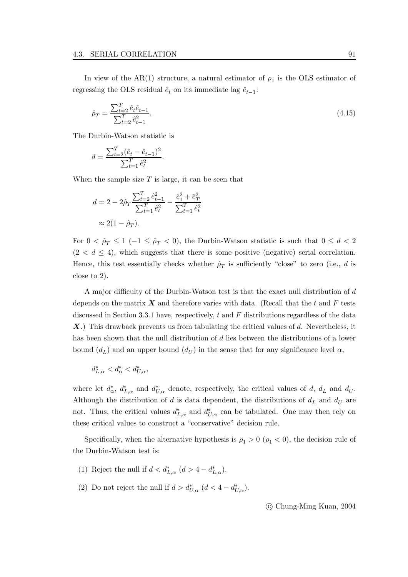In view of the AR(1) structure, a natural estimator of  $\rho_1$  is the OLS estimator of regressing the OLS residual  $\hat{e}_t$  on its immediate lag  $\hat{e}_{t-1}$ :

$$
\hat{\rho}_T = \frac{\sum_{t=2}^T \hat{e}_t \hat{e}_{t-1}}{\sum_{t=2}^T \hat{e}_{t-1}^2}.
$$
\n(4.15)

The Durbin-Watson statistic is

$$
d = \frac{\sum_{t=2}^{T} (\hat{e}_t - \hat{e}_{t-1})^2}{\sum_{t=1}^{T} \hat{e}_t^2}.
$$

When the sample size  $T$  is large, it can be seen that

$$
d = 2 - 2\hat{\rho}_T \frac{\sum_{t=2}^T \hat{e}_{t-1}^2}{\sum_{t=1}^T \hat{e}_t^2} - \frac{\hat{e}_1^2 + \hat{e}_T^2}{\sum_{t=1}^T \hat{e}_t^2}
$$
  

$$
\approx 2(1 - \hat{\rho}_T).
$$

For  $0 < \hat{\rho}_T \leq 1$  (-1  $\leq \hat{\rho}_T < 0$ ), the Durbin-Watson statistic is such that  $0 \leq d < 2$  $(2 < d \leq 4)$ , which suggests that there is some positive (negative) serial correlation. Hence, this test essentially checks whether  $\rho_T$  is sufficiently "close" to zero (i.e., d is close to 2).

A major difficulty of the Durbin-Watson test is that the exact null distribution of d depends on the matrix  $\boldsymbol{X}$  and therefore varies with data. (Recall that the t and  $\boldsymbol{F}$  tests discussed in Section 3.3.1 have, respectively,  $t$  and  $F$  distributions regardless of the data X.) This drawback prevents us from tabulating the critical values of d. Nevertheless, it has been shown that the null distribution of d lies between the distributions of a lower bound  $(d_L)$  and an upper bound  $(d_U)$  in the sense that for any significance level  $\alpha$ ,

$$
d^*_{L,\alpha} < d^*_\alpha < d^*_{U,\alpha},
$$

where let  $d_{\alpha}^*$ ,  $d_{L,\alpha}^*$  and  $d_{U,\alpha}^*$  denote, respectively, the critical values of d,  $d_L$  and  $d_U$ . Although the distribution of d is data dependent, the distributions of  $d<sub>L</sub>$  and  $d<sub>U</sub>$  are not. Thus, the critical values  $d_{L,\alpha}^*$  and  $d_{U,\alpha}^*$  can be tabulated. One may then rely on these critical values to construct a "conservative" decision rule.

Specifically, when the alternative hypothesis is  $\rho_1 > 0$  ( $\rho_1 < 0$ ), the decision rule of the Durbin-Watson test is:

- (1) Reject the null if  $d < d_{L,\alpha}^*$   $(d > 4 d_{L,\alpha}^*).$
- (2) Do not reject the null if  $d > d^*_{U,\alpha}$   $(d < 4 d^*_{U,\alpha})$ .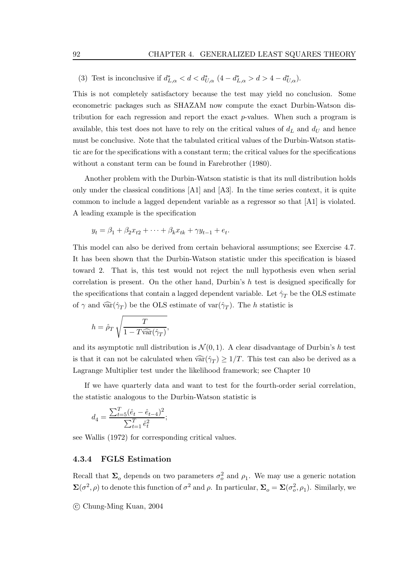(3) Test is inconclusive if  $d^*_{L,\alpha} < d < d^*_{U,\alpha}$   $(4 - d^*_{L,\alpha} > d > 4 - d^*_{U,\alpha})$ .

This is not completely satisfactory because the test may yield no conclusion. Some econometric packages such as SHAZAM now compute the exact Durbin-Watson distribution for each regression and report the exact p-values. When such a program is available, this test does not have to rely on the critical values of  $d_L$  and  $d_U$  and hence must be conclusive. Note that the tabulated critical values of the Durbin-Watson statistic are for the specifications with a constant term; the critical values for the specifications without a constant term can be found in Farebrother (1980).

Another problem with the Durbin-Watson statistic is that its null distribution holds only under the classical conditions [A1] and [A3]. In the time series context, it is quite common to include a lagged dependent variable as a regressor so that [A1] is violated. A leading example is the specification

$$
y_t = \beta_1 + \beta_2 x_{t2} + \dots + \beta_k x_{tk} + \gamma y_{t-1} + e_t.
$$

This model can also be derived from certain behavioral assumptions; see Exercise 4.7. It has been shown that the Durbin-Watson statistic under this specification is biased toward 2. That is, this test would not reject the null hypothesis even when serial correlation is present. On the other hand, Durbin's  $h$  test is designed specifically for the specifications that contain a lagged dependent variable. Let  $\hat{\gamma}_T$  be the OLS estimate of  $\gamma$  and  $\widehat{\text{var}}(\hat{\gamma}_T)$  be the OLS estimate of  $\text{var}(\hat{\gamma}_T)$ . The h statistic is

$$
h = \hat{\rho}_T \sqrt{\frac{T}{1 - T\widehat{\text{var}}(\hat{\gamma}_T)}},
$$

and its asymptotic null distribution is  $\mathcal{N}(0, 1)$ . A clear disadvantage of Durbin's h test is that it can not be calculated when  $\widehat{\text{var}}(\hat{\gamma}_T) \geq 1/T$ . This test can also be derived as a Lagrange Multiplier test under the likelihood framework; see Chapter 10

If we have quarterly data and want to test for the fourth-order serial correlation, the statistic analogous to the Durbin-Watson statistic is

$$
d_4 = \frac{\sum_{t=5}^{T} (\hat{e}_t - \hat{e}_{t-4})^2}{\sum_{t=1}^{T} \hat{e}_t^2};
$$

see Wallis (1972) for corresponding critical values.

#### **4.3.4 FGLS Estimation**

Recall that  $\Sigma_o$  depends on two parameters  $\sigma_o^2$  and  $\rho_1$ . We may use a generic notation  $\Sigma(\sigma^2, \rho)$  to denote this function of  $\sigma^2$  and  $\rho$ . In particular,  $\Sigma_o = \Sigma(\sigma_o^2, \rho_1)$ . Similarly, we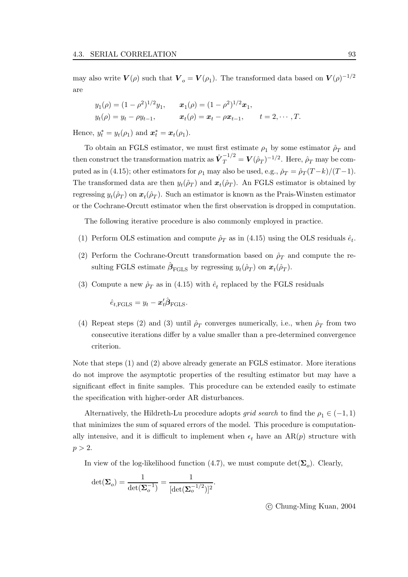may also write  $V(\rho)$  such that  $V_o = V(\rho_1)$ . The transformed data based on  $V(\rho)^{-1/2}$ are

$$
y_1(\rho) = (1 - \rho^2)^{1/2} y_1,
$$
  $x_1(\rho) = (1 - \rho^2)^{1/2} x_1,$   
\n $y_t(\rho) = y_t - \rho y_{t-1},$   $x_t(\rho) = x_t - \rho x_{t-1},$   $t = 2, \dots, T.$ 

Hence,  $y_t^* = y_t(\rho_1)$  and  $\mathbf{x}_t^* = \mathbf{x}_t(\rho_1)$ .

To obtain an FGLS estimator, we must first estimate  $\rho_1$  by some estimator  $\rho_T$  and then construct the transformation matrix as  $\hat{\boldsymbol{V}}_T^{-1/2} = \boldsymbol{V}(\hat{\rho}_T)^{-1/2}$ . Here,  $\hat{\rho}_T$  may be computed as in (4.15); other estimators for  $\rho_1$  may also be used, e.g.,  $\rho_T = \rho_T (T - k)/(T - 1)$ . The transformed data are then  $y_t(\hat{\rho}_T)$  and  $x_t(\hat{\rho}_T)$ . An FGLS estimator is obtained by regressing  $y_t(\hat{\rho}_T)$  on  $\mathbf{x}_t(\hat{\rho}_T)$ . Such an estimator is known as the Prais-Winsten estimator or the Cochrane-Orcutt estimator when the first observation is dropped in computation.

The following iterative procedure is also commonly employed in practice.

- (1) Perform OLS estimation and compute  $\rho_T$  as in (4.15) using the OLS residuals  $\hat{e}_t$ .
- (2) Perform the Cochrane-Orcutt transformation based on  $\hat{\rho}_T$  and compute the resulting FGLS estimate  $\hat{\beta}_{\text{FGLS}}$  by regressing  $y_t(\hat{\rho}_T)$  on  $\mathbf{x}_t(\hat{\rho}_T)$ .
- (3) Compute a new  $\rho_T$  as in (4.15) with  $\hat{e}_t$  replaced by the FGLS residuals

 $\hat{e}_{t,\text{FGLS}} = y_t - \boldsymbol{x}_t' \hat{\boldsymbol{\beta}}_{\text{FGLS}}.$ 

(4) Repeat steps (2) and (3) until  $\rho_T$  converges numerically, i.e., when  $\rho_T$  from two consecutive iterations differ by a value smaller than a pre-determined convergence criterion.

Note that steps (1) and (2) above already generate an FGLS estimator. More iterations do not improve the asymptotic properties of the resulting estimator but may have a significant effect in finite samples. This procedure can be extended easily to estimate the specification with higher-order AR disturbances.

Alternatively, the Hildreth-Lu procedure adopts *grid search* to find the  $\rho_1 \in (-1, 1)$ that minimizes the sum of squared errors of the model. This procedure is computationally intensive, and it is difficult to implement when  $\epsilon_t$  have an AR(p) structure with  $p > 2$ .

In view of the log-likelihood function (4.7), we must compute  $\det(\Sigma_o)$ . Clearly,

$$
\det(\boldsymbol{\Sigma}_o) = \frac{1}{\det(\boldsymbol{\Sigma}_o^{-1})} = \frac{1}{[\det(\boldsymbol{\Sigma}_o^{-1/2})]^2}.
$$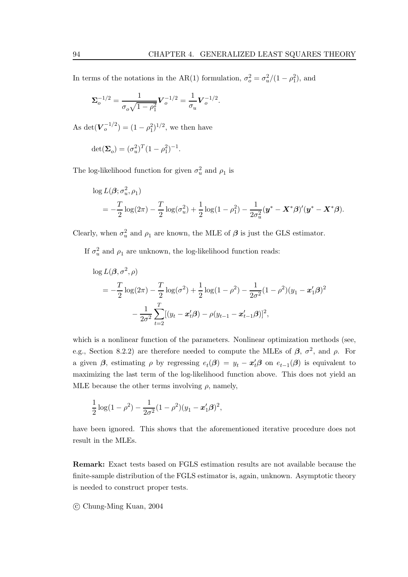In terms of the notations in the AR(1) formulation,  $\sigma_o^2 = \sigma_u^2/(1 - \rho_1^2)$ , and

$$
\Sigma_o^{-1/2} = \frac{1}{\sigma_o \sqrt{1 - \rho_1^2}} V_o^{-1/2} = \frac{1}{\sigma_u} V_o^{-1/2}.
$$

As det( $V_o^{-1/2}$ ) =  $(1 - \rho_1^2)^{1/2}$ , we then have

$$
\det(\mathbf{\Sigma}_o) = (\sigma_u^2)^T (1 - \rho_1^2)^{-1}.
$$

The log-likelihood function for given  $\sigma_u^2$  and  $\rho_1$  is

$$
\log L(\beta; \sigma_u^2, \rho_1)
$$
  
=  $-\frac{T}{2} \log(2\pi) - \frac{T}{2} \log(\sigma_u^2) + \frac{1}{2} \log(1 - \rho_1^2) - \frac{1}{2\sigma_u^2} (\mathbf{y}^* - \mathbf{X}^* \beta)' (\mathbf{y}^* - \mathbf{X}^* \beta).$ 

Clearly, when  $\sigma_u^2$  and  $\rho_1$  are known, the MLE of  $\beta$  is just the GLS estimator.

If  $\sigma_u^2$  and  $\rho_1$  are unknown, the log-likelihood function reads:

$$
\log L(\beta, \sigma^2, \rho)
$$
  
=  $-\frac{T}{2} \log(2\pi) - \frac{T}{2} \log(\sigma^2) + \frac{1}{2} \log(1 - \rho^2) - \frac{1}{2\sigma^2} (1 - \rho^2) (y_1 - x_1'\beta)^2$   
 $- \frac{1}{2\sigma^2} \sum_{t=2}^T [(y_t - x_t'\beta) - \rho(y_{t-1} - x_{t-1}'\beta)]^2,$ 

which is a nonlinear function of the parameters. Nonlinear optimization methods (see, e.g., Section 8.2.2) are therefore needed to compute the MLEs of  $\beta$ ,  $\sigma^2$ , and  $\rho$ . For a given  $\beta$ , estimating  $\rho$  by regressing  $e_t(\beta) = y_t - x'_t \beta$  on  $e_{t-1}(\beta)$  is equivalent to maximizing the last term of the log-likelihood function above. This does not yield an MLE because the other terms involving  $\rho$ , namely,

$$
\frac{1}{2}\log(1-\rho^2) - \frac{1}{2\sigma^2}(1-\rho^2)(y_1 - x_1'\beta)^2,
$$

have been ignored. This shows that the aforementioned iterative procedure does not result in the MLEs.

**Remark:** Exact tests based on FGLS estimation results are not available because the finite-sample distribution of the FGLS estimator is, again, unknown. Asymptotic theory is needed to construct proper tests.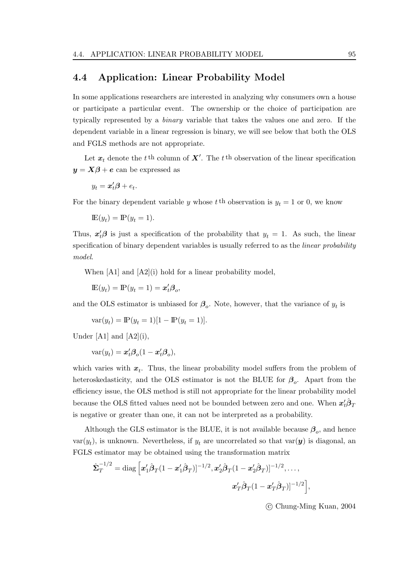## **4.4 Application: Linear Probability Model**

In some applications researchers are interested in analyzing why consumers own a house or participate a particular event. The ownership or the choice of participation are typically represented by a binary variable that takes the values one and zero. If the dependent variable in a linear regression is binary, we will see below that both the OLS and FGLS methods are not appropriate.

Let  $x_t$  denote the t<sup>th</sup> column of  $X'$ . The t<sup>th</sup> observation of the linear specification  $y = X\beta + e$  can be expressed as

$$
y_t = \mathbf{x}'_t \boldsymbol{\beta} + e_t.
$$

For the binary dependent variable y whose t<sup>th</sup> observation is  $y_t = 1$  or 0, we know

$$
\mathbb{E}(y_t) = \mathbb{P}(y_t = 1).
$$

Thus,  $x_t^{\prime} \beta$  is just a specification of the probability that  $y_t = 1$ . As such, the linear specification of binary dependent variables is usually referred to as the *linear probability* model.

When [A1] and [A2](i) hold for a linear probability model,

$$
\mathbf{E}(y_t) = \mathbf{P}(y_t = 1) = \mathbf{x}'_t \mathbf{\beta}_o,
$$

and the OLS estimator is unbiased for  $\beta_o$ . Note, however, that the variance of  $y_t$  is

$$
var(y_t) = \mathbb{P}(y_t = 1)[1 - \mathbb{P}(y_t = 1)].
$$

Under [A1] and  $[A2](i)$ ,

$$
var(y_t) = \boldsymbol{x}_t' \boldsymbol{\beta}_o (1 - \boldsymbol{x}_t' \boldsymbol{\beta}_o),
$$

which varies with  $x_t$ . Thus, the linear probability model suffers from the problem of heteroskedasticity, and the OLS estimator is not the BLUE for  $\beta_o$ . Apart from the efficiency issue, the OLS method is still not appropriate for the linear probability model because the OLS fitted values need not be bounded between zero and one. When  $x_t^{\prime} \hat{\beta}_T$ is negative or greater than one, it can not be interpreted as a probability.

Although the GLS estimator is the BLUE, it is not available because  $\beta_o$ , and hence var( $y_t$ ), is unknown. Nevertheless, if  $y_t$  are uncorrelated so that var( $y$ ) is diagonal, an FGLS estimator may be obtained using the transformation matrix

$$
\hat{\mathbf{\Sigma}}_T^{-1/2} = \text{diag}\left[ \bm{x}_1' \hat{\bm{\beta}}_T (1-\bm{x}_1' \hat{\bm{\beta}}_T)]^{-1/2}, \bm{x}_2' \hat{\bm{\beta}}_T (1-\bm{x}_2' \hat{\bm{\beta}}_T)]^{-1/2}, \ldots, \\ \bm{x}_T' \hat{\bm{\beta}}_T (1-\bm{x}_T' \hat{\bm{\beta}}_T)]^{-1/2} \right]
$$

c Chung-Ming Kuan, 2004

,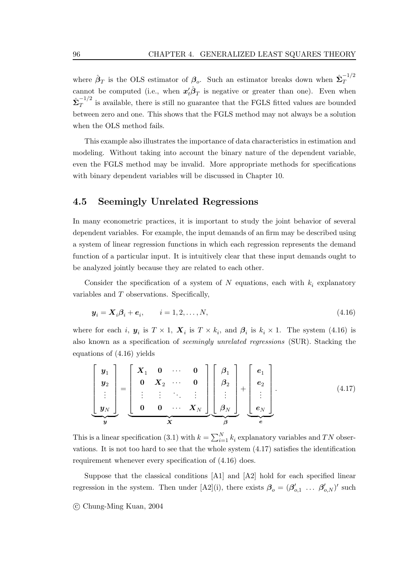where  $\hat{\beta}_T$  is the OLS estimator of  $\beta_o$ . Such an estimator breaks down when  $\hat{\Sigma}_T^{-1/2}$ cannot be computed (i.e., when  $x_t \hat{\beta}_T$  is negative or greater than one). Even when  $\hat{\Sigma}_T^{-1/2}$  is available, there is still no guarantee that the FGLS fitted values are bounded between zero and one. This shows that the FGLS method may not always be a solution when the OLS method fails.

This example also illustrates the importance of data characteristics in estimation and modeling. Without taking into account the binary nature of the dependent variable, even the FGLS method may be invalid. More appropriate methods for specifications with binary dependent variables will be discussed in Chapter 10.

## **4.5 Seemingly Unrelated Regressions**

In many econometric practices, it is important to study the joint behavior of several dependent variables. For example, the input demands of an firm may be described using a system of linear regression functions in which each regression represents the demand function of a particular input. It is intuitively clear that these input demands ought to be analyzed jointly because they are related to each other.

Consider the specification of a system of N equations, each with  $k_i$  explanatory variables and T observations. Specifically,

$$
\boldsymbol{y}_i = \boldsymbol{X}_i \boldsymbol{\beta}_i + \boldsymbol{e}_i, \qquad i = 1, 2, \dots, N,
$$
\n
$$
(4.16)
$$

where for each i,  $y_i$  is  $T \times 1$ ,  $X_i$  is  $T \times k_i$ , and  $\beta_i$  is  $k_i \times 1$ . The system (4.16) is also known as a specification of seemingly unrelated regressions (SUR). Stacking the equations of (4.16) yields

$$
\begin{bmatrix}\ny_1 \\
y_2 \\
\vdots \\
y_N\n\end{bmatrix} = \begin{bmatrix}\nX_1 & 0 & \cdots & 0 \\
0 & X_2 & \cdots & 0 \\
\vdots & \vdots & \ddots & \vdots \\
0 & 0 & \cdots & X_N\n\end{bmatrix} \begin{bmatrix}\n\beta_1 \\
\beta_2 \\
\vdots \\
\beta_N\n\end{bmatrix} + \begin{bmatrix}\ne_1 \\
e_2 \\
\vdots \\
e_N\n\end{bmatrix}.
$$
\n(4.17)

This is a linear specification (3.1) with  $k = \sum_{i=1}^{N} k_i$  explanatory variables and TN observations. It is not too hard to see that the whole system (4.17) satisfies the identification requirement whenever every specification of (4.16) does.

Suppose that the classical conditions [A1] and [A2] hold for each specified linear regression in the system. Then under [A2](i), there exists  $\beta_o = (\beta'_{o,1} \dots \beta'_{o,N})'$  such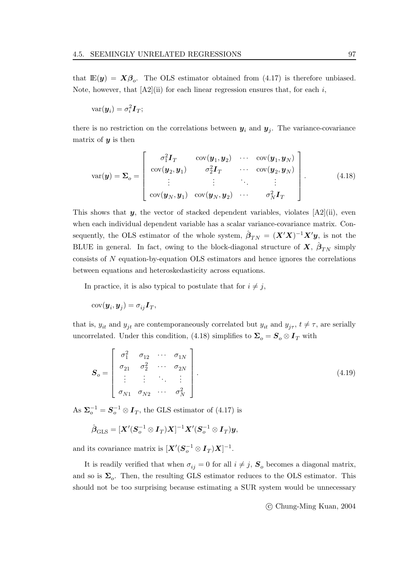that  $\mathbb{E}(y) = X\beta_o$ . The OLS estimator obtained from (4.17) is therefore unbiased. Note, however, that  $[A2](ii)$  for each linear regression ensures that, for each i,

$$
\text{var}(\boldsymbol{y}_i) = \sigma_i^2 \boldsymbol{I}_T;
$$

there is no restriction on the correlations between  $y_i$  and  $y_j$ . The variance-covariance matrix of *y* is then

$$
var(\boldsymbol{y}) = \boldsymbol{\Sigma}_o = \begin{bmatrix} \sigma_1^2 \boldsymbol{I}_T & cov(\boldsymbol{y}_1, \boldsymbol{y}_2) & \cdots & cov(\boldsymbol{y}_1, \boldsymbol{y}_N) \\ cov(\boldsymbol{y}_2, \boldsymbol{y}_1) & \sigma_2^2 \boldsymbol{I}_T & \cdots & cov(\boldsymbol{y}_2, \boldsymbol{y}_N) \\ \vdots & \vdots & \ddots & \vdots \\ cov(\boldsymbol{y}_N, \boldsymbol{y}_1) & cov(\boldsymbol{y}_N, \boldsymbol{y}_2) & \cdots & \sigma_N^2 \boldsymbol{I}_T \end{bmatrix} .
$$
 (4.18)

This shows that  $y$ , the vector of stacked dependent variables, violates  $[A2](ii)$ , even when each individual dependent variable has a scalar variance-covariance matrix. Consequently, the OLS estimator of the whole system,  $\hat{\boldsymbol{\beta}}_{TN} = (\boldsymbol{X}'\boldsymbol{X})^{-1}\boldsymbol{X}'\boldsymbol{y}$ , is not the BLUE in general. In fact, owing to the block-diagonal structure of  $\mathbf{X}$ ,  $\hat{\boldsymbol{\beta}}_{TN}$  simply consists of N equation-by-equation OLS estimators and hence ignores the correlations between equations and heteroskedasticity across equations.

In practice, it is also typical to postulate that for  $i \neq j$ ,

$$
cov(\boldsymbol{y}_i, \boldsymbol{y}_j) = \sigma_{ij} \boldsymbol{I}_T,
$$

that is,  $y_{it}$  and  $y_{jt}$  are contemporaneously correlated but  $y_{it}$  and  $y_{j\tau}$ ,  $t \neq \tau$ , are serially uncorrelated. Under this condition, (4.18) simplifies to  $\Sigma_o = S_o \otimes I_T$  with

$$
\mathbf{S}_o = \begin{bmatrix} \sigma_1^2 & \sigma_{12} & \cdots & \sigma_{1N} \\ \sigma_{21} & \sigma_2^2 & \cdots & \sigma_{2N} \\ \vdots & \vdots & \ddots & \vdots \\ \sigma_{N1} & \sigma_{N2} & \cdots & \sigma_N^2 \end{bmatrix} .
$$
 (4.19)

As  $\Sigma_o^{-1} = S_o^{-1} \otimes I_T$ , the GLS estimator of (4.17) is

$$
\hat{\boldsymbol{\beta}}_{\mathrm{GLS}} = [\boldsymbol{X}^{\prime}(\boldsymbol{S}_{o}^{-1} \otimes \boldsymbol{I}_{T})\boldsymbol{X}]^{-1} \boldsymbol{X}^{\prime}(\boldsymbol{S}_{o}^{-1} \otimes \boldsymbol{I}_{T}) \boldsymbol{y},
$$

and its covariance matrix is  $[\mathbf{X}'(\mathbf{S}_o^{-1} \otimes \mathbf{I}_T)\mathbf{X}]^{-1}$ .

It is readily verified that when  $\sigma_{ij} = 0$  for all  $i \neq j$ ,  $S_o$  becomes a diagonal matrix, and so is  $\Sigma_o$ . Then, the resulting GLS estimator reduces to the OLS estimator. This should not be too surprising because estimating a SUR system would be unnecessary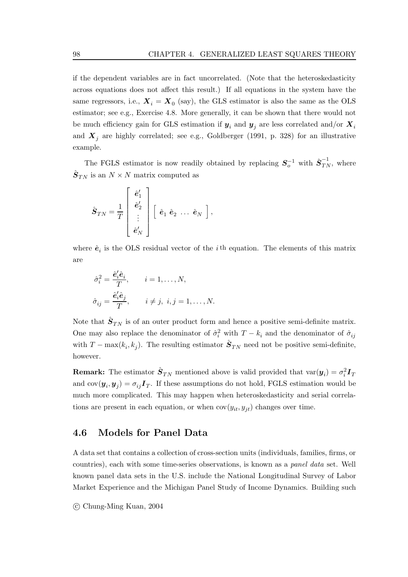if the dependent variables are in fact uncorrelated. (Note that the heteroskedasticity across equations does not affect this result.) If all equations in the system have the same regressors, i.e.,  $\mathbf{X}_i = \mathbf{X}_0$  (say), the GLS estimator is also the same as the OLS estimator; see e.g., Exercise 4.8. More generally, it can be shown that there would not be much efficiency gain for GLS estimation if  $y_i$  and  $y_j$  are less correlated and/or  $X_i$ and  $\boldsymbol{X}_i$  are highly correlated; see e.g., Goldberger (1991, p. 328) for an illustrative example.

The FGLS estimator is now readily obtained by replacing  $S_o^{-1}$  with  $\hat{S}_{TN}^{-1}$ , where  $\hat{\mathbf{S}}_{TN}$  is an  $N \times N$  matrix computed as

$$
\hat{\boldsymbol{S}}_{TN} = \frac{1}{T} \left[ \begin{array}{c} \hat{\boldsymbol{e}}_1' \\ \hat{\boldsymbol{e}}_2' \\ \vdots \\ \hat{\boldsymbol{e}}_N' \end{array} \right] \left[ \begin{array}{ccc} \hat{\boldsymbol{e}}_1 & \hat{\boldsymbol{e}}_2 & \dots & \hat{\boldsymbol{e}}_N \end{array} \right],
$$

where  $\hat{\mathbf{e}}_i$  is the OLS residual vector of the *i*<sup>th</sup> equation. The elements of this matrix are

$$
\hat{\sigma}_i^2 = \frac{\hat{e}_i' \hat{e}_i}{T}, \qquad i = 1, \dots, N,
$$
  

$$
\hat{\sigma}_{ij} = \frac{\hat{e}_i' \hat{e}_j}{T}, \qquad i \neq j, \ i, j = 1, \dots, N.
$$

Note that  $\hat{\mathbf{S}}_{TN}$  is of an outer product form and hence a positive semi-definite matrix. One may also replace the denominator of  $\hat{\sigma}_i^2$  with  $T - k_i$  and the denominator of  $\hat{\sigma}_{ij}$ with  $T - \max(k_i, k_j)$ . The resulting estimator  $\hat{S}_{TN}$  need not be positive semi-definite, however.

**Remark:** The estimator  $\hat{S}_{TN}$  mentioned above is valid provided that  $\text{var}(y_i) = \sigma_i^2 \mathbf{I}_T$ and  $cov(\boldsymbol{y}_i, \boldsymbol{y}_j) = \sigma_{ij} \boldsymbol{I}_T$ . If these assumptions do not hold, FGLS estimation would be much more complicated. This may happen when heteroskedasticity and serial correlations are present in each equation, or when  $cov(y_{it}, y_{it})$  changes over time.

## **4.6 Models for Panel Data**

A data set that contains a collection of cross-section units (individuals, families, firms, or countries), each with some time-series observations, is known as a panel data set. Well known panel data sets in the U.S. include the National Longitudinal Survey of Labor Market Experience and the Michigan Panel Study of Income Dynamics. Building such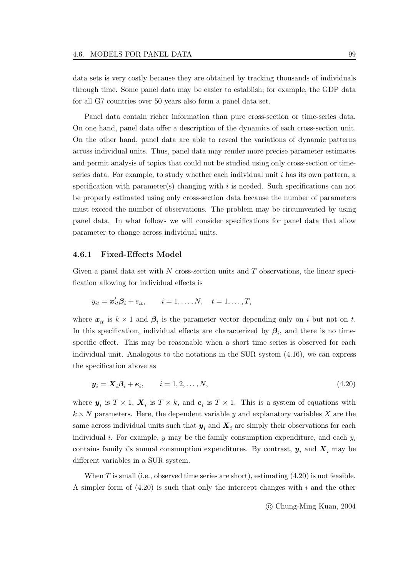data sets is very costly because they are obtained by tracking thousands of individuals through time. Some panel data may be easier to establish; for example, the GDP data for all G7 countries over 50 years also form a panel data set.

Panel data contain richer information than pure cross-section or time-series data. On one hand, panel data offer a description of the dynamics of each cross-section unit. On the other hand, panel data are able to reveal the variations of dynamic patterns across individual units. Thus, panel data may render more precise parameter estimates and permit analysis of topics that could not be studied using only cross-section or timeseries data. For example, to study whether each individual unit  $i$  has its own pattern, a specification with parameter(s) changing with  $i$  is needed. Such specifications can not be properly estimated using only cross-section data because the number of parameters must exceed the number of observations. The problem may be circumvented by using panel data. In what follows we will consider specifications for panel data that allow parameter to change across individual units.

#### **4.6.1 Fixed-Effects Model**

Given a panel data set with  $N$  cross-section units and  $T$  observations, the linear specification allowing for individual effects is

$$
y_{it} = \mathbf{x}_{it}'\mathbf{\beta}_i + e_{it}, \qquad i = 1, \dots, N, \quad t = 1, \dots, T,
$$

where  $x_{it}$  is  $k \times 1$  and  $\beta_i$  is the parameter vector depending only on i but not on t. In this specification, individual effects are characterized by  $\beta_i$ , and there is no timespecific effect. This may be reasonable when a short time series is observed for each individual unit. Analogous to the notations in the SUR system (4.16), we can express the specification above as

$$
\mathbf{y}_i = \mathbf{X}_i \boldsymbol{\beta}_i + \boldsymbol{e}_i, \qquad i = 1, 2, \dots, N,
$$
\n
$$
(4.20)
$$

where  $y_i$  is  $T \times 1$ ,  $X_i$  is  $T \times k$ , and  $e_i$  is  $T \times 1$ . This is a system of equations with  $k \times N$  parameters. Here, the dependent variable y and explanatory variables X are the same across individual units such that  $y_i$  and  $X_i$  are simply their observations for each individual *i*. For example, *y* may be the family consumption expenditure, and each  $y_i$ contains family i's annual consumption expenditures. By contrast,  $y_i$  and  $X_i$  may be different variables in a SUR system.

When  $T$  is small (i.e., observed time series are short), estimating  $(4.20)$  is not feasible. A simpler form of  $(4.20)$  is such that only the intercept changes with i and the other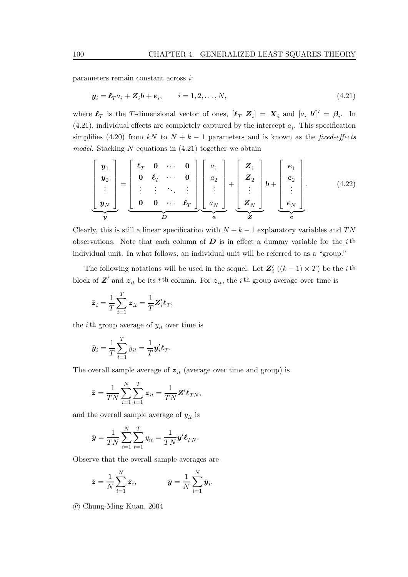parameters remain constant across i:

$$
\mathbf{y}_i = \boldsymbol{\ell}_T a_i + \mathbf{Z}_i \mathbf{b} + \mathbf{e}_i, \qquad i = 1, 2, \dots, N,
$$
\n
$$
(4.21)
$$

where  $\ell_T$  is the T-dimensional vector of ones,  $[\ell_T \ Z_i] = X_i$  and  $[a_i \ b']' = \beta_i$ . In  $(4.21)$ , individual effects are completely captured by the intercept  $a_i$ . This specification simplifies (4.20) from kN to  $N + k - 1$  parameters and is known as the fixed-effects model. Stacking  $N$  equations in  $(4.21)$  together we obtain

$$
\begin{bmatrix}\ny_1 \\
y_2 \\
\vdots \\
y_N\n\end{bmatrix} = \begin{bmatrix}\n\ell_T & 0 & \cdots & 0 \\
0 & \ell_T & \cdots & 0 \\
\vdots & \vdots & \ddots & \vdots \\
0 & 0 & \cdots & \ell_T\n\end{bmatrix} \begin{bmatrix}\na_1 \\
a_2 \\
\vdots \\
a_N\n\end{bmatrix} + \begin{bmatrix}\nZ_1 \\
Z_2 \\
\vdots \\
Z_N\n\end{bmatrix} b + \begin{bmatrix}\ne_1 \\
e_2 \\
\vdots \\
e_N\n\end{bmatrix}.
$$
\n(4.22)

Clearly, this is still a linear specification with  $N + k - 1$  explanatory variables and TN observations. Note that each column of  $D$  is in effect a dummy variable for the i<sup>th</sup> individual unit. In what follows, an individual unit will be referred to as a "group."

The following notations will be used in the sequel. Let  $Z_i'$  ((k – 1) × T) be the i<sup>th</sup> block of  $Z'$  and  $z_{it}$  be its t<sup>th</sup> column. For  $z_{it}$ , the i<sup>th</sup> group average over time is

$$
\bar{z}_i = \frac{1}{T} \sum_{t=1}^T z_{it} = \frac{1}{T} Z_i' \ell_T;
$$

the *i*<sup>th</sup> group average of  $y_{it}$  over time is

$$
\bar{\boldsymbol{y}}_i = \frac{1}{T} \sum_{t=1}^T y_{it} = \frac{1}{T} \boldsymbol{y}_i' \boldsymbol{\ell}_T.
$$

The overall sample average of  $z_{it}$  (average over time and group) is

$$
\bar{\mathbf{z}} = \frac{1}{TN} \sum_{i=1}^{N} \sum_{t=1}^{T} \mathbf{z}_{it} = \frac{1}{TN} \mathbf{Z}' \boldsymbol{\ell}_{TN},
$$

and the overall sample average of  $y_{it}$  is

$$
\bar{\mathbf{y}} = \frac{1}{TN} \sum_{i=1}^{N} \sum_{t=1}^{T} y_{it} = \frac{1}{TN} \mathbf{y}' \mathbf{\ell}_{TN}.
$$

Observe that the overall sample averages are

$$
\bar{\mathbf{z}} = \frac{1}{N} \sum_{i=1}^{N} \bar{\mathbf{z}}_i, \qquad \qquad \bar{\mathbf{y}} = \frac{1}{N} \sum_{i=1}^{N} \bar{\mathbf{y}}_i,
$$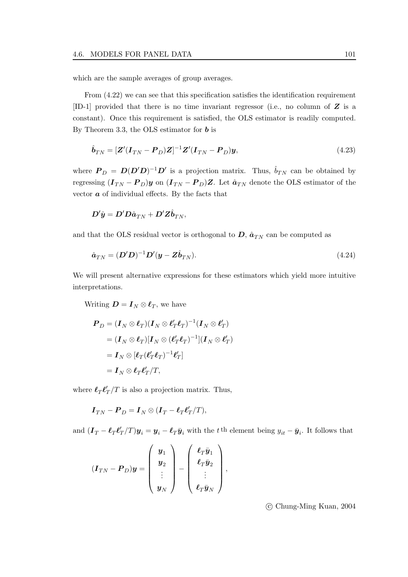which are the sample averages of group averages.

From  $(4.22)$  we can see that this specification satisfies the identification requirement [ID-1] provided that there is no time invariant regressor (i.e., no column of *Z* is a constant). Once this requirement is satisfied, the OLS estimator is readily computed. By Theorem 3.3, the OLS estimator for *b* is

$$
\hat{\boldsymbol{b}}_{TN} = [\boldsymbol{Z}'(\boldsymbol{I}_{TN} - \boldsymbol{P}_D)\boldsymbol{Z}]^{-1}\boldsymbol{Z}'(\boldsymbol{I}_{TN} - \boldsymbol{P}_D)\boldsymbol{y},\tag{4.23}
$$

where  $P_D = D(D'D)^{-1}D'$  is a projection matrix. Thus,  $\hat{b}_{TN}$  can be obtained by regressing  $(I_{TN} - P_D)y$  on  $(I_{TN} - P_D)Z$ . Let  $\hat{a}_{TN}$  denote the OLS estimator of the vector  $\boldsymbol{a}$  of individual effects. By the facts that

$$
\boldsymbol{D}'\hat{\boldsymbol{y}} = \boldsymbol{D}'\boldsymbol{D}\hat{\boldsymbol{a}}_{TN} + \boldsymbol{D}'\boldsymbol{Z}\hat{\boldsymbol{b}}_{TN},
$$

and that the OLS residual vector is orthogonal to  $D$ ,  $\hat{a}_{TN}$  can be computed as

$$
\hat{\boldsymbol{a}}_{TN} = (\boldsymbol{D}'\boldsymbol{D})^{-1}\boldsymbol{D}'(\boldsymbol{y} - \boldsymbol{Z}\hat{\boldsymbol{b}}_{TN}).
$$
\n(4.24)

We will present alternative expressions for these estimators which yield more intuitive interpretations.

Writing  $\mathbf{D} = \mathbf{I}_N \otimes \mathbf{\ell}_T$ , we have

$$
\begin{aligned} \boldsymbol{P}_D &= (\boldsymbol{I}_N \otimes \boldsymbol{\ell}_T)(\boldsymbol{I}_N \otimes \boldsymbol{\ell}_T' \boldsymbol{\ell}_T)^{-1} (\boldsymbol{I}_N \otimes \boldsymbol{\ell}_T') \\ &= (\boldsymbol{I}_N \otimes \boldsymbol{\ell}_T)[\boldsymbol{I}_N \otimes (\boldsymbol{\ell}_T' \boldsymbol{\ell}_T)^{-1}](\boldsymbol{I}_N \otimes \boldsymbol{\ell}_T') \\ &= \boldsymbol{I}_N \otimes [\boldsymbol{\ell}_T (\boldsymbol{\ell}_T' \boldsymbol{\ell}_T)^{-1} \boldsymbol{\ell}_T'] \\ &= \boldsymbol{I}_N \otimes \boldsymbol{\ell}_T \boldsymbol{\ell}_T'/T, \end{aligned}
$$

where  $\ell_T \ell'_T / T$  is also a projection matrix. Thus,

$$
\boldsymbol{I}_{TN} - \boldsymbol{P}_D = \boldsymbol{I}_N \otimes (\boldsymbol{I}_T - \boldsymbol{\ell}_T \boldsymbol{\ell}_T'/T),
$$

and  $(I_T - \ell_T \ell'_T/T) y_i = y_i - \ell_T \bar{y}_i$  with the t<sup>th</sup> element being  $y_{it} - \bar{y}_i$ . It follows that

$$
(\boldsymbol{I}_{TN} - \boldsymbol{P}_D)\boldsymbol{y} = \left(\begin{array}{c} \boldsymbol{y}_1 \\ \boldsymbol{y}_2 \\ \vdots \\ \boldsymbol{y}_N \end{array}\right) - \left(\begin{array}{c} \boldsymbol{\ell}_T\bar{\boldsymbol{y}}_1 \\ \boldsymbol{\ell}_T\bar{\boldsymbol{y}}_2 \\ \vdots \\ \boldsymbol{\ell}_T\bar{\boldsymbol{y}}_N \end{array}\right),
$$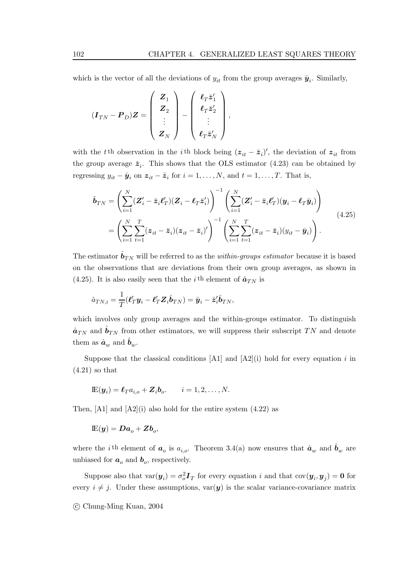which is the vector of all the deviations of  $y_{it}$  from the group averages  $\bar{y}_i$ . Similarly,

$$
(\boldsymbol{I}_{TN} - \boldsymbol{P}_D)\boldsymbol{Z} = \begin{pmatrix} \boldsymbol{Z}_1 \\ \boldsymbol{Z}_2 \\ \vdots \\ \boldsymbol{Z}_N \end{pmatrix} - \begin{pmatrix} \boldsymbol{\ell}_T \bar{\boldsymbol{z}}_1' \\ \boldsymbol{\ell}_T \bar{\boldsymbol{z}}_2' \\ \vdots \\ \boldsymbol{\ell}_T \bar{\boldsymbol{z}}_N' \end{pmatrix},
$$

with the t<sup>th</sup> observation in the i<sup>th</sup> block being  $(z_{it} - \bar{z}_i)'$ , the deviation of  $z_{it}$  from the group average  $\bar{z}_i$ . This shows that the OLS estimator (4.23) can be obtained by regressing  $y_{it} - \bar{y}_i$  on  $z_{it} - \bar{z}_i$  for  $i = 1, ..., N$ , and  $t = 1, ..., T$ . That is,

$$
\hat{\boldsymbol{b}}_{TN} = \left( \sum_{i=1}^{N} (\boldsymbol{Z}_{i}^{\prime} - \bar{\boldsymbol{z}}_{i} \boldsymbol{\ell}_{T}^{\prime}) (\boldsymbol{Z}_{i} - \boldsymbol{\ell}_{T} \bar{\boldsymbol{z}}_{i}^{\prime}) \right)^{-1} \left( \sum_{i=1}^{N} (\boldsymbol{Z}_{i}^{\prime} - \bar{\boldsymbol{z}}_{i} \boldsymbol{\ell}_{T}^{\prime}) (\boldsymbol{y}_{i} - \boldsymbol{\ell}_{T} \bar{\boldsymbol{y}}_{i}) \right) \n= \left( \sum_{i=1}^{N} \sum_{t=1}^{T} (\boldsymbol{z}_{it} - \bar{\boldsymbol{z}}_{i}) (\boldsymbol{z}_{it} - \bar{\boldsymbol{z}}_{i})^{\prime} \right)^{-1} \left( \sum_{i=1}^{N} \sum_{t=1}^{T} (\boldsymbol{z}_{it} - \bar{\boldsymbol{z}}_{i}) (\boldsymbol{y}_{it} - \bar{\boldsymbol{y}}_{i}) \right).
$$
\n(4.25)

The estimator  $\hat{\bm{b}}_{TN}$  will be referred to as the *within-groups estimator* because it is based on the observations that are deviations from their own group averages, as shown in (4.25). It is also easily seen that the *i*<sup>th</sup> element of  $\hat{a}_{TN}$  is

$$
\hat{a}_{TN,i} = \frac{1}{T}(\boldsymbol{\ell}_T' \boldsymbol{y}_i - \boldsymbol{\ell}_T' \boldsymbol{Z}_i \hat{\boldsymbol{b}}_{TN}) = \bar{\boldsymbol{y}}_i - \bar{\boldsymbol{z}}_i' \hat{\boldsymbol{b}}_{TN},
$$

which involves only group averages and the within-groups estimator. To distinguish  $\hat{\bm{a}}_{TN}$  and  $\hat{\bm{b}}_{TN}$  from other estimators, we will suppress their subscript TN and denote them as  $\hat{\boldsymbol{a}}_w$  and  $\hat{\boldsymbol{b}}_w$ .

Suppose that the classical conditions  $[A1]$  and  $[A2](i)$  hold for every equation i in  $(4.21)$  so that

$$
\mathop{\mathrm{I\!E}}\nolimits(\boldsymbol{y}_i) = \boldsymbol{\ell}_T a_{i,o} + \boldsymbol{Z}_i \boldsymbol{b}_o. \qquad i = 1, 2, \dots, N.
$$

Then,  $[A1]$  and  $[A2](i)$  also hold for the entire system  $(4.22)$  as

$$
\mathbb{E}(\boldsymbol{y}) = \boldsymbol{D}\boldsymbol{a}_o + \boldsymbol{Z}\boldsymbol{b}_o,
$$

where the *i*<sup>th</sup> element of  $a_o$  is  $a_{i,o}$ . Theorem 3.4(a) now ensures that  $\hat{a}_w$  and  $\hat{b}_w$  are unbiased for  $a_o$  and  $b_o$ , respectively.

Suppose also that  $\text{var}(\mathbf{y}_i) = \sigma_o^2 \mathbf{I}_T$  for every equation i and that  $\text{cov}(\mathbf{y}_i, \mathbf{y}_j) = \mathbf{0}$  for every  $i \neq j$ . Under these assumptions,  $var(y)$  is the scalar variance-covariance matrix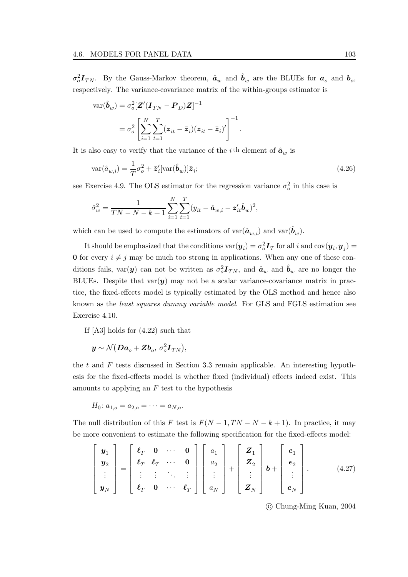$\sigma_o^2 \mathbf{I}_{TN}$ . By the Gauss-Markov theorem,  $\hat{\boldsymbol{a}}_w$  and  $\hat{\boldsymbol{b}}_w$  are the BLUEs for  $\boldsymbol{a}_o$  and  $\boldsymbol{b}_o$ , respectively. The variance-covariance matrix of the within-groups estimator is

$$
\operatorname{var}(\hat{\boldsymbol{b}}_w) = \sigma_o^2 [\mathbf{Z}' (\mathbf{I}_{TN} - \mathbf{P}_D) \mathbf{Z}]^{-1}
$$

$$
= \sigma_o^2 \left[ \sum_{i=1}^N \sum_{t=1}^T (\mathbf{z}_{it} - \bar{\mathbf{z}}_i) (\mathbf{z}_{it} - \bar{\mathbf{z}}_i)' \right]^{-1}
$$

It is also easy to verify that the variance of the *i*<sup>th</sup> element of  $\hat{a}_w$  is

$$
\text{var}(\hat{a}_{w,i}) = \frac{1}{T}\sigma_o^2 + \bar{\mathbf{z}}_i'[\text{var}(\hat{\boldsymbol{b}}_w)]\bar{\mathbf{z}}_i; \tag{4.26}
$$

.

see Exercise 4.9. The OLS estimator for the regression variance  $\sigma_o^2$  in this case is

$$
\hat{\sigma}_w^2 = \frac{1}{TN - N - k + 1} \sum_{i=1}^N \sum_{t=1}^T (y_{it} - \hat{\mathbf{a}}_{w,i} - \mathbf{z}_{it}' \hat{\mathbf{b}}_w)^2,
$$

which can be used to compute the estimators of  $\text{var}(\hat{\boldsymbol{a}}_{w,i})$  and  $\text{var}(\hat{\boldsymbol{b}}_w)$ .

It should be emphasized that the conditions  $\text{var}(\bm{y}_i) = \sigma_o^2 \bm{I}_T$  for all  $i$  and  $\text{cov}(\bm{y}_i, \bm{y}_j) =$ **0** for every  $i \neq j$  may be much too strong in applications. When any one of these conditions fails,  $var(y)$  can not be written as  $\sigma_o^2 \bm{I}_{TN}$ , and  $\hat{\bm{a}}_w$  and  $\hat{\bm{b}}_w$  are no longer the BLUEs. Despite that  $var(y)$  may not be a scalar variance-covariance matrix in practice, the fixed-effects model is typically estimated by the OLS method and hence also known as the least squares dummy variable model. For GLS and FGLS estimation see Exercise 4.10.

If [A3] holds for (4.22) such that

 $\boldsymbol{y} \sim \mathcal{N} \big(\boldsymbol{D} \boldsymbol{a}_o + \boldsymbol{Z} \boldsymbol{b}_o,~\sigma_o^2 \boldsymbol{I}_{TN} \big),$ 

the  $t$  and  $F$  tests discussed in Section 3.3 remain applicable. An interesting hypothesis for the fixed-effects model is whether fixed (individual) effects indeed exist. This amounts to applying an  $F$  test to the hypothesis

$$
H_0: a_{1,o} = a_{2,o} = \cdots = a_{N,o}.
$$

The null distribution of this F test is  $F(N-1, TN-N-k+1)$ . In practice, it may be more convenient to estimate the following specification for the fixed-effects model:

$$
\begin{bmatrix}\n\mathbf{y}_1 \\
\mathbf{y}_2 \\
\vdots \\
\mathbf{y}_N\n\end{bmatrix} = \begin{bmatrix}\n\boldsymbol{\ell}_T & \mathbf{0} & \cdots & \mathbf{0} \\
\boldsymbol{\ell}_T & \boldsymbol{\ell}_T & \cdots & \mathbf{0} \\
\vdots & \vdots & \ddots & \vdots \\
\boldsymbol{\ell}_T & \mathbf{0} & \cdots & \boldsymbol{\ell}_T\n\end{bmatrix} \begin{bmatrix}\na_1 \\
a_2 \\
\vdots \\
a_N\n\end{bmatrix} + \begin{bmatrix}\n\mathbf{Z}_1 \\
\mathbf{Z}_2 \\
\vdots \\
\mathbf{Z}_N\n\end{bmatrix} \mathbf{b} + \begin{bmatrix}\n\mathbf{e}_1 \\
\mathbf{e}_2 \\
\vdots \\
\mathbf{e}_N\n\end{bmatrix} . \qquad (4.27)
$$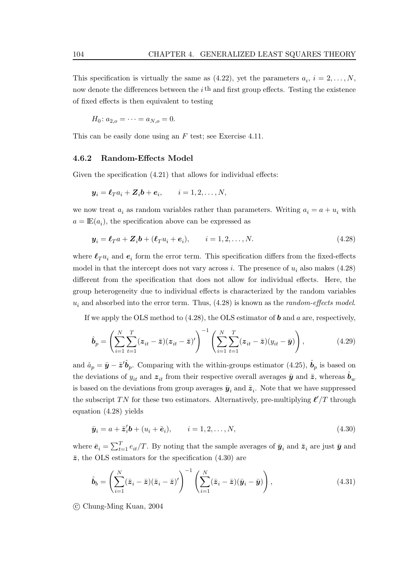This specification is virtually the same as (4.22), yet the parameters  $a_i$ ,  $i = 2, \ldots, N$ , now denote the differences between the  $i$ <sup>th</sup> and first group effects. Testing the existence of fixed effects is then equivalent to testing

$$
H_0: a_{2,o} = \cdots = a_{N,o} = 0.
$$

This can be easily done using an F test; see Exercise 4.11.

#### **4.6.2 Random-Effects Model**

Given the specification  $(4.21)$  that allows for individual effects:

$$
\mathbf{y}_i = \mathbf{\ell}_T a_i + \mathbf{Z}_i \mathbf{b} + \mathbf{e}_i, \qquad i = 1, 2, \dots, N,
$$

we now treat  $a_i$  as random variables rather than parameters. Writing  $a_i = a + u_i$  with  $a = \mathbb{E}(a_i)$ , the specification above can be expressed as

$$
\mathbf{y}_i = \boldsymbol{\ell}_T a + \mathbf{Z}_i \mathbf{b} + (\boldsymbol{\ell}_T u_i + \boldsymbol{e}_i), \qquad i = 1, 2, \dots, N. \tag{4.28}
$$

where  $\ell_T u_i$  and  $\epsilon_i$  form the error term. This specification differs from the fixed-effects model in that the intercept does not vary across i. The presence of  $u_i$  also makes (4.28) different from the specification that does not allow for individual effects. Here, the group heterogeneity due to individual effects is characterized by the random variables  $u_i$  and absorbed into the error term. Thus,  $(4.28)$  is known as the *random-effects model*.

If we apply the OLS method to (4.28), the OLS estimator of *b* and a are, respectively,

$$
\hat{\boldsymbol{b}}_p = \left(\sum_{i=1}^N \sum_{t=1}^T (z_{it} - \bar{z})(z_{it} - \bar{z})'\right)^{-1} \left(\sum_{i=1}^N \sum_{t=1}^T (z_{it} - \bar{z})(y_{it} - \bar{y})\right),\tag{4.29}
$$

and  $\hat{a}_p = \bar{y} - \bar{z}' \hat{b}_p$ . Comparing with the within-groups estimator (4.25),  $\hat{b}_p$  is based on the deviations of  $y_{it}$  and  $z_{it}$  from their respective overall averages  $\bar{y}$  and  $\bar{z}$ , whereas  $\hat{b}_w$ is based on the deviations from group averages  $\bar{y}_i$  and  $\bar{z}_i$ . Note that we have suppressed the subscript TN for these two estimators. Alternatively, pre-multiplying  $\ell'/T$  through equation (4.28) yields

$$
\bar{\mathbf{y}}_i = a + \bar{\mathbf{z}}_i' \mathbf{b} + (u_i + \bar{\mathbf{e}}_i), \qquad i = 1, 2, \dots, N,
$$
\n
$$
(4.30)
$$

where  $\bar{e}_i = \sum_{t=1}^T e_{it}/T$ . By noting that the sample averages of  $\bar{y}_i$  and  $\bar{z}_i$  are just  $\bar{y}$  and  $\bar{z}$ , the OLS estimators for the specification (4.30) are

$$
\hat{\boldsymbol{b}}_b = \left(\sum_{i=1}^N (\bar{z}_i - \bar{z})(\bar{z}_i - \bar{z})'\right)^{-1} \left(\sum_{i=1}^N (\bar{z}_i - \bar{z})(\bar{y}_i - \bar{y})\right),\tag{4.31}
$$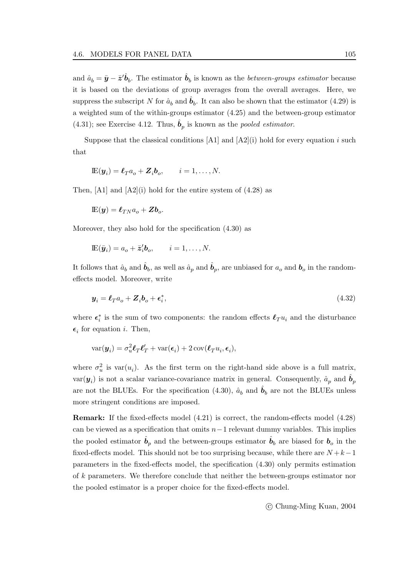and  $\hat{a}_b = \bar{y} - \bar{z}^{\prime} \hat{b}_b$ . The estimator  $\hat{b}_b$  is known as the *between-groups estimator* because it is based on the deviations of group averages from the overall averages. Here, we suppress the subscript N for  $\hat{a}_b$  and  $\hat{b}_b$ . It can also be shown that the estimator (4.29) is a weighted sum of the within-groups estimator (4.25) and the between-group estimator (4.31); see Exercise 4.12. Thus,  $\hat{b}_p$  is known as the *pooled estimator*.

Suppose that the classical conditions  $[A1]$  and  $[A2](i)$  hold for every equation i such that

$$
\mathbb{E}(\boldsymbol{y}_i) = \boldsymbol{\ell}_T a_o + \boldsymbol{Z}_i \boldsymbol{b}_o, \qquad i = 1, \dots, N.
$$

Then,  $[A1]$  and  $[A2](i)$  hold for the entire system of  $(4.28)$  as

$$
\mathop{\mathrm{I\!E}}\nolimits(\boldsymbol{y}) = \boldsymbol{\ell}_{T N} a_o + \boldsymbol{Z} \boldsymbol{b}_o.
$$

Moreover, they also hold for the specification (4.30) as

$$
\mathbb{E}(\bar{\pmb{y}}_i) = a_o + \bar{\pmb{z}}_i' \pmb{b}_o, \qquad i = 1, \dots, N.
$$

It follows that  $\hat{a}_b$  and  $\hat{b}_b$ , as well as  $\hat{a}_p$  and  $\hat{b}_p$ , are unbiased for  $a_o$  and  $b_o$  in the randomeffects model. Moreover, write

$$
\mathbf{y}_i = \mathbf{\ell}_T a_o + \mathbf{Z}_i \mathbf{b}_o + \boldsymbol{\epsilon}_i^*,\tag{4.32}
$$

where  $\epsilon_i^*$  is the sum of two components: the random effects  $\ell_T u_i$  and the disturbance  $\epsilon_i$  for equation i. Then,

$$
\text{var}(\boldsymbol{y}_i) = \sigma_u^2 \boldsymbol{\ell}_T \boldsymbol{\ell}_T' + \text{var}(\boldsymbol{\epsilon}_i) + 2 \text{cov}(\boldsymbol{\ell}_T u_i, \boldsymbol{\epsilon}_i),
$$

where  $\sigma_u^2$  is var $(u_i)$ . As the first term on the right-hand side above is a full matrix,  $var(\mathbf{y}_i)$  is not a scalar variance-covariance matrix in general. Consequently,  $\hat{a}_p$  and  $\hat{b}_p$ are not the BLUEs. For the specification (4.30),  $\hat{a}_b$  and  $\hat{b}_b$  are not the BLUEs unless more stringent conditions are imposed.

**Remark:** If the fixed-effects model (4.21) is correct, the random-effects model (4.28) can be viewed as a specification that omits  $n-1$  relevant dummy variables. This implies the pooled estimator  $\hat{b}_p$  and the between-groups estimator  $\hat{b}_b$  are biased for  $b_o$  in the fixed-effects model. This should not be too surprising because, while there are  $N + k - 1$ parameters in the fixed-effects model, the specification (4.30) only permits estimation of k parameters. We therefore conclude that neither the between-groups estimator nor the pooled estimator is a proper choice for the fixed-effects model.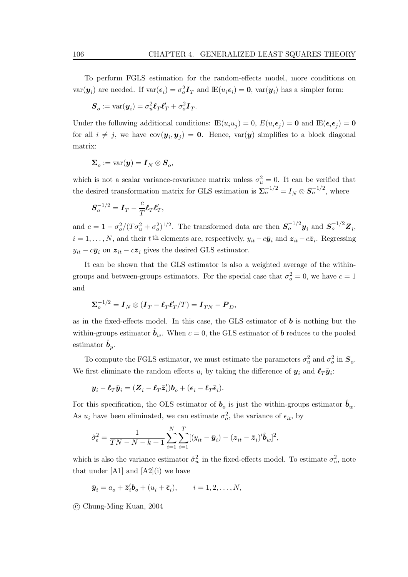To perform FGLS estimation for the random-effects model, more conditions on  $var(\mathbf{y}_i)$  are needed. If  $var(\boldsymbol{\epsilon}_i) = \sigma_o^2 \mathbf{I}_T$  and  $\mathbb{E}(u_i \boldsymbol{\epsilon}_i) = \mathbf{0}$ ,  $var(\mathbf{y}_i)$  has a simpler form:

$$
\boldsymbol{S}_o := \text{var}(\boldsymbol{y}_i) = \sigma_u^2 \boldsymbol{\ell}_T \boldsymbol{\ell}_T' + \sigma_o^2 \boldsymbol{I}_T.
$$

Under the following additional conditions:  $\mathbb{E}(u_i u_j) = 0$ ,  $E(u_i \epsilon_j) = \mathbf{0}$  and  $\mathbb{E}(\epsilon_i \epsilon_j) = \mathbf{0}$ for all  $i \neq j$ , we have  $cov(\mathbf{y}_i, \mathbf{y}_j) = \mathbf{0}$ . Hence,  $var(\mathbf{y})$  simplifies to a block diagonal matrix:

$$
\boldsymbol{\Sigma}_o := \mathrm{var}(\boldsymbol{y}) = \boldsymbol{I}_N \otimes \boldsymbol{S}_o,
$$

which is not a scalar variance-covariance matrix unless  $\sigma_u^2 = 0$ . It can be verified that the desired transformation matrix for GLS estimation is  $\sum_{o}^{-1/2} = I_N \otimes S_o^{-1/2}$ , where

$$
\boldsymbol{S}_o^{-1/2} = \boldsymbol{I}_T - \frac{c}{T} \boldsymbol{\ell}_T \boldsymbol{\ell}_T',
$$

and  $c = 1 - \frac{\sigma_o^2}{(T\sigma_u^2 + \sigma_o^2)^{1/2}}$ . The transformed data are then  $S_o^{-1/2}y_i$  and  $S_o^{-1/2}Z_i$ ,  $i = 1, \ldots, N$ , and their t<sup>th</sup> elements are, respectively,  $y_{it} - c\bar{y}_i$  and  $z_{it} - c\bar{z}_i$ . Regressing  $y_{it} - c\bar{y}_i$  on  $z_{it} - c\bar{z}_i$  gives the desired GLS estimator.

It can be shown that the GLS estimator is also a weighted average of the withingroups and between-groups estimators. For the special case that  $\sigma_o^2 = 0$ , we have  $c = 1$ and

$$
\Sigma_o^{-1/2} = \boldsymbol{I}_N \otimes (\boldsymbol{I}_T - \boldsymbol{\ell}_T \boldsymbol{\ell}_T'/T) = \boldsymbol{I}_{TN} - \boldsymbol{P}_D,
$$

as in the fixed-effects model. In this case, the GLS estimator of *b* is nothing but the within-groups estimator  $\hat{\boldsymbol{b}}_w$ . When  $c = 0$ , the GLS estimator of  $\boldsymbol{b}$  reduces to the pooled estimator  $\hat{\boldsymbol{b}}_p$ .

To compute the FGLS estimator, we must estimate the parameters  $\sigma_u^2$  and  $\sigma_o^2$  in  $\mathbf{S}_o$ . We first eliminate the random effects  $u_i$  by taking the difference of  $y_i$  and  $\ell_T \bar{y}_i$ :

$$
\boldsymbol{y}_i - \boldsymbol{\ell}_T\bar{\boldsymbol{y}}_i = (\boldsymbol{Z}_i - \boldsymbol{\ell}_T\bar{\boldsymbol{z}}_i')\boldsymbol{b}_o + (\boldsymbol{\epsilon}_i - \boldsymbol{\ell}_T\bar{\boldsymbol{\epsilon}}_i).
$$

For this specification, the OLS estimator of  $b<sub>o</sub>$  is just the within-groups estimator  $\hat{b}<sub>w</sub>$ . As  $u_i$  have been eliminated, we can estimate  $\sigma_o^2$ , the variance of  $\epsilon_{it}$ , by

$$
\hat{\sigma}_{\epsilon}^2 = \frac{1}{TN - N - k + 1} \sum_{i=1}^N \sum_{i=1}^T [(y_{it} - \bar{y}_i) - (\mathbf{z}_{it} - \bar{\mathbf{z}}_i)' \hat{\boldsymbol{b}}_w]^2,
$$

which is also the variance estimator  $\hat{\sigma}_w^2$  in the fixed-effects model. To estimate  $\sigma_w^2$ , note that under  $[A1]$  and  $[A2](i)$  we have

$$
\bar{\pmb{y}}_i = a_o + \bar{\pmb{z}}_i' \pmb{b}_o + (u_i + \bar{\pmb{\epsilon}}_i), \qquad i = 1, 2, \dots, N,
$$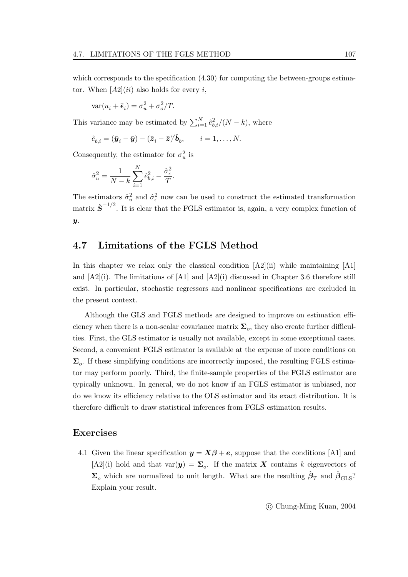which corresponds to the specification  $(4.30)$  for computing the between-groups estimator. When  $[A2](ii)$  also holds for every i,

$$
\text{var}(u_i + \bar{\epsilon}_i) = \sigma_u^2 + \sigma_o^2 / T.
$$

This variance may be estimated by  $\sum_{i=1}^{N} \hat{e}_{b,i}^2/(N-k)$ , where

$$
\hat{e}_{b,i} = (\bar{\boldsymbol{y}}_i - \bar{\boldsymbol{y}}) - (\bar{\boldsymbol{z}}_i - \bar{\boldsymbol{z}})^{\prime} \hat{\boldsymbol{b}}_b, \qquad i = 1, \ldots, N.
$$

Consequently, the estimator for  $\sigma_u^2$  is

$$
\hat{\sigma}_u^2 = \frac{1}{N-k} \sum_{i=1}^N \hat{e}_{b,i}^2 - \frac{\hat{\sigma}_{\epsilon}^2}{T}.
$$

The estimators  $\hat{\sigma}_u^2$  and  $\hat{\sigma}_\epsilon^2$  now can be used to construct the estimated transformation matrix  $\hat{\boldsymbol{S}}^{-1/2}$ . It is clear that the FGLS estimator is, again, a very complex function of *y*.

## **4.7 Limitations of the FGLS Method**

In this chapter we relax only the classical condition  $[A2](ii)$  while maintaining  $[A1]$ and  $[A2](i)$ . The limitations of  $[A1]$  and  $[A2](i)$  discussed in Chapter 3.6 therefore still exist. In particular, stochastic regressors and nonlinear specifications are excluded in the present context.

Although the GLS and FGLS methods are designed to improve on estimation efficiency when there is a non-scalar covariance matrix  $\Sigma_o$ , they also create further difficulties. First, the GLS estimator is usually not available, except in some exceptional cases. Second, a convenient FGLS estimator is available at the expense of more conditions on  $\Sigma_o$ . If these simplifying conditions are incorrectly imposed, the resulting FGLS estimator may perform poorly. Third, the finite-sample properties of the FGLS estimator are typically unknown. In general, we do not know if an FGLS estimator is unbiased, nor do we know its efficiency relative to the OLS estimator and its exact distribution. It is therefore difficult to draw statistical inferences from FGLS estimation results.

### **Exercises**

4.1 Given the linear specification  $y = X\beta + e$ , suppose that the conditions [A1] and  $[A2](i)$  hold and that var $(y) = \sum_{o}$ . If the matrix *X* contains k eigenvectors of  $\Sigma$ <sub>o</sub> which are normalized to unit length. What are the resulting  $\hat{\beta}_T$  and  $\hat{\beta}_{\text{GLS}}$ ? Explain your result.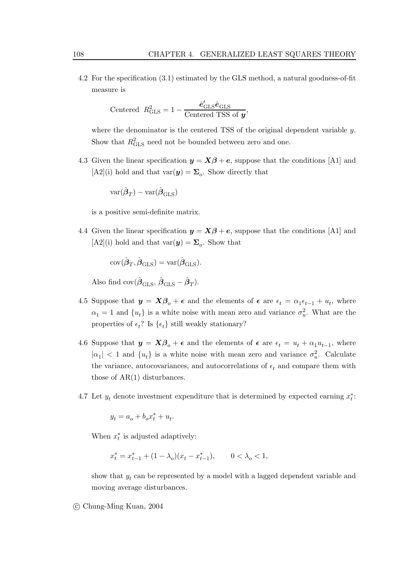4.2 For the specification (3.1) estimated by the GLS method, a natural goodness-of-fit measure is

$$
\text{Centered } R_{\text{GLS}}^2 = 1 - \frac{\hat{e}_{\text{GLS}}'\hat{e}_{\text{GLS}}}{\text{Centered TSS of } \mathbf{y}},
$$

where the denominator is the centered TSS of the original dependent variable y. Show that  $R_{\text{GLS}}^2$  need not be bounded between zero and one.

4.3 Given the linear specification  $y = X\beta + e$ , suppose that the conditions [A1] and  $[A2](i)$  hold and that var $(y) = \Sigma_o$ . Show directly that

$$
\text{var}(\hat{\boldsymbol{\beta}}_T) - \text{var}(\hat{\boldsymbol{\beta}}_{\text{GLS}})
$$

is a positive semi-definite matrix.

4.4 Given the linear specification  $y = X\beta + e$ , suppose that the conditions [A1] and  $[A2](i)$  hold and that  $var(\mathbf{y}) = \sum_o$ . Show that

$$
\text{cov}(\hat{\pmb{\beta}}_T,\hat{\pmb{\beta}}_{\text{GLS}})=\text{var}(\hat{\pmb{\beta}}_{\text{GLS}}).
$$

Also find  $cov(\hat{\boldsymbol{\beta}}_{\text{CLS}}, \hat{\boldsymbol{\beta}}_{\text{CLS}} - \hat{\boldsymbol{\beta}}_{\text{T}}).$ 

- 4.5 Suppose that  $y = X\beta_o + \epsilon$  and the elements of  $\epsilon$  are  $\epsilon_t = \alpha_1 \epsilon_{t-1} + u_t$ , where  $\alpha_1 = 1$  and  $\{u_t\}$  is a white noise with mean zero and variance  $\sigma_u^2$ . What are the properties of  $\epsilon_t$ ? Is  $\{\epsilon_t\}$  still weakly stationary?
- 4.6 Suppose that  $y = X\beta_o + \epsilon$  and the elements of  $\epsilon$  are  $\epsilon_t = u_t + \alpha_1 u_{t-1}$ , where  $|\alpha_1|$  < 1 and  $\{u_t\}$  is a white noise with mean zero and variance  $\sigma_u^2$ . Calculate the variance, autocovariances, and autocorrelations of  $\epsilon_t$  and compare them with those of AR(1) disturbances.
- 4.7 Let  $y_t$  denote investment expenditure that is determined by expected earning  $x_t^*$ :

$$
y_t = a_o + b_o x_t^* + u_t.
$$

When  $x_t^*$  is adjusted adaptively:

$$
x^*_t = x^*_{t-1} + (1-\lambda_o)(x_t-x^*_{t-1}), \qquad 0<\lambda_o<1,
$$

show that  $y_t$  can be represented by a model with a lagged dependent variable and moving average disturbances.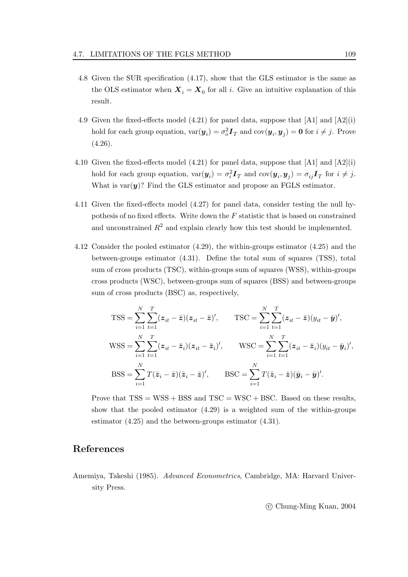- 4.8 Given the SUR specification (4.17), show that the GLS estimator is the same as the OLS estimator when  $X_i = X_0$  for all i. Give an intuitive explanation of this result.
- 4.9 Given the fixed-effects model (4.21) for panel data, suppose that  $[A1]$  and  $[A2](i)$ hold for each group equation,  $var(\mathbf{y}_i) = \sigma_o^2 \mathbf{I}_T$  and  $cov(\mathbf{y}_i, \mathbf{y}_j) = \mathbf{0}$  for  $i \neq j$ . Prove  $(4.26).$
- 4.10 Given the fixed-effects model  $(4.21)$  for panel data, suppose that  $[A1]$  and  $[A2](i)$ hold for each group equation,  $\text{var}(\mathbf{y}_i) = \sigma_i^2 \mathbf{I}_T$  and  $\text{cov}(\mathbf{y}_i, \mathbf{y}_j) = \sigma_{ij} \mathbf{I}_T$  for  $i \neq j$ . What is  $var(y)$ ? Find the GLS estimator and propose an FGLS estimator.
- 4.11 Given the fixed-effects model (4.27) for panel data, consider testing the null hypothesis of no fixed effects. Write down the  $F$  statistic that is based on constrained and unconstrained  $R^2$  and explain clearly how this test should be implemented.
- 4.12 Consider the pooled estimator (4.29), the within-groups estimator (4.25) and the between-groups estimator (4.31). Define the total sum of squares (TSS), total sum of cross products (TSC), within-groups sum of squares (WSS), within-groups cross products (WSC), between-groups sum of squares (BSS) and between-groups sum of cross products (BSC) as, respectively,

$$
TSS = \sum_{i=1}^{N} \sum_{t=1}^{T} (z_{it} - \bar{z})(z_{it} - \bar{z})', \qquad TSC = \sum_{i=1}^{N} \sum_{t=1}^{T} (z_{it} - \bar{z})(y_{it} - \bar{y})',
$$
  
\n
$$
WSS = \sum_{i=1}^{N} \sum_{t=1}^{T} (z_{it} - \bar{z}_{i})(z_{it} - \bar{z}_{i})', \qquad WSC = \sum_{i=1}^{N} \sum_{t=1}^{T} (z_{it} - \bar{z}_{i})(y_{it} - \bar{y}_{i})',
$$
  
\n
$$
BSS = \sum_{i=1}^{N} T(\bar{z}_{i} - \bar{z})(\bar{z}_{i} - \bar{z})', \qquad BSC = \sum_{i=1}^{N} T(\bar{z}_{i} - \bar{z})(\bar{y}_{i} - \bar{y})'.
$$

Prove that  $TSS = WSS + BSS$  and  $TSC = WSC + BSC$ . Based on these results, show that the pooled estimator  $(4.29)$  is a weighted sum of the within-groups estimator (4.25) and the between-groups estimator (4.31).

## **References**

Amemiya, Takeshi (1985). Advanced Econometrics, Cambridge, MA: Harvard University Press.